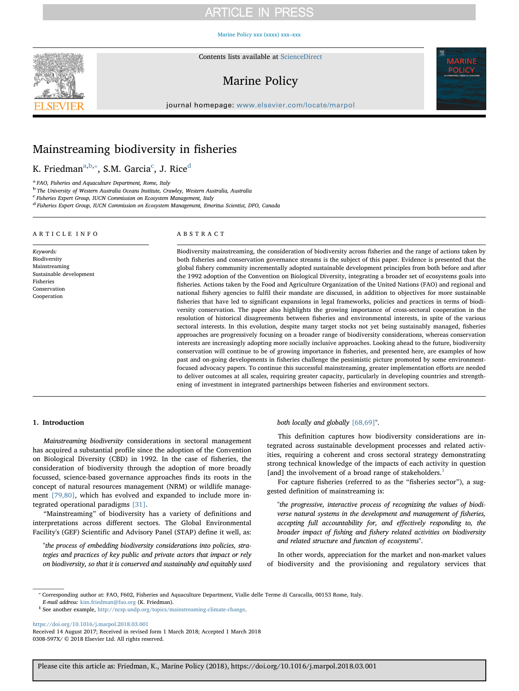# **ARTICLE IN PRESS**

## [Marine Policy xxx \(xxxx\) xxx–xxx](https://doi.org/10.1016/j.marpol.2018.03.001)



Contents lists available at [ScienceDirect](http://www.sciencedirect.com/science/journal/0308597X)

# Marine Policy

journal homepage: [www.elsevier.com/locate/marpol](https://www.elsevier.com/locate/marpol)

# Mainstreaming biodiversity in fisheries

K. Friedm[a](#page-0-0)n<sup>a,[b,](#page-0-1)</sup>\*, S.M. Gar[c](#page-0-3)ia<sup>c</sup>, J. Rice<sup>d</sup>

<span id="page-0-0"></span><sup>a</sup> FAO, Fisheries and Aquaculture Department, Rome, Italy

<span id="page-0-1"></span><sup>b</sup> The University of Western Australia Oceans Institute, Crawley, Western Australia, Australia

<span id="page-0-3"></span>c Fisheries Expert Group, IUCN Commission on Ecosystem Management, Italy

<span id="page-0-4"></span><sup>d</sup> Fisheries Expert Group, IUCN Commission on Ecosystem Management, Emeritus Scientist, DFO, Canada

### ARTICLE INFO Keywords: Biodiversity Mainstreaming Sustainable development Fisheries Conservation Cooperation ABSTRACT Biodiversity mainstreaming, the consideration of biodiversity across fisheries and the range of actions taken by both fisheries and conservation governance streams is the subject of this paper. Evidence is presented that the global fishery community incrementally adopted sustainable development principles from both before and after the 1992 adoption of the Convention on Biological Diversity, integrating a broader set of ecosystems goals into fisheries. Actions taken by the Food and Agriculture Organization of the United Nations (FAO) and regional and national fishery agencies to fulfil their mandate are discussed, in addition to objectives for more sustainable fisheries that have led to significant expansions in legal frameworks, policies and practices in terms of biodiversity conservation. The paper also highlights the growing importance of cross-sectoral cooperation in the resolution of historical disagreements between fisheries and environmental interests, in spite of the various sectoral interests. In this evolution, despite many target stocks not yet being sustainably managed, fisheries approaches are progressively focusing on a broader range of biodiversity considerations, whereas conservation interests are increasingly adopting more socially inclusive approaches. Looking ahead to the future, biodiversity conservation will continue to be of growing importance in fisheries, and presented here, are examples of how past and on-going developments in fisheries challenge the pessimistic picture promoted by some environmentfocused advocacy papers. To continue this successful mainstreaming, greater implementation efforts are needed

## 1. Introduction

Mainstreaming biodiversity considerations in sectoral management has acquired a substantial profile since the adoption of the Convention on Biological Diversity (CBD) in 1992. In the case of fisheries, the consideration of biodiversity through the adoption of more broadly focussed, science-based governance approaches finds its roots in the concept of natural resources management (NRM) or wildlife management [\[79,80\]](#page-10-0), which has evolved and expanded to include more integrated operational paradigms [\[31\]](#page-10-1).

"Mainstreaming" of biodiversity has a variety of definitions and interpretations across different sectors. The Global Environmental Facility's (GEF) Scientific and Advisory Panel (STAP) define it well, as:

"the process of embedding biodiversity considerations into policies, strategies and practices of key public and private actors that impact or rely on biodiversity, so that it is conserved and sustainably and equitably used

## both locally and globally [\[68,69\]"](#page-10-2).

to deliver outcomes at all scales, requiring greater capacity, particularly in developing countries and strength-

ening of investment in integrated partnerships between fisheries and environment sectors.

This definition captures how biodiversity considerations are integrated across sustainable development processes and related activities, requiring a coherent and cross sectoral strategy demonstrating strong technical knowledge of the impacts of each activity in question [and] the involvement of a broad range of stakeholders.<sup>[1](#page-0-5)</sup>

For capture fisheries (referred to as the "fisheries sector"), a suggested definition of mainstreaming is:

"the progressive, interactive process of recognizing the values of biodiverse natural systems in the development and management of fisheries, accepting full accountability for, and effectively responding to, the broader impact of fishing and fishery related activities on biodiversity and related structure and function of ecosystems".

In other words, appreciation for the market and non-market values of biodiversity and the provisioning and regulatory services that

<span id="page-0-2"></span>⁎ Corresponding author at: FAO, F602, Fisheries and Aquaculture Department, Vialle delle Terme di Caracalla, 00153 Rome, Italy.

<span id="page-0-5"></span> $E\!-\!mal$   $address:$   $kim.friedman@fao.org$  (K. Friedman).  $^1$  See another example, <code>[http://ncsp.undp.org/topics/mainstreaming-climate-change.](http://ncsp.undp.org/topics/mainstreaming-climate-change)</code>

<https://doi.org/10.1016/j.marpol.2018.03.001> Received 14 August 2017; Received in revised form 1 March 2018; Accepted 1 March 2018

0308-597X/ © 2018 Elsevier Ltd. All rights reserved.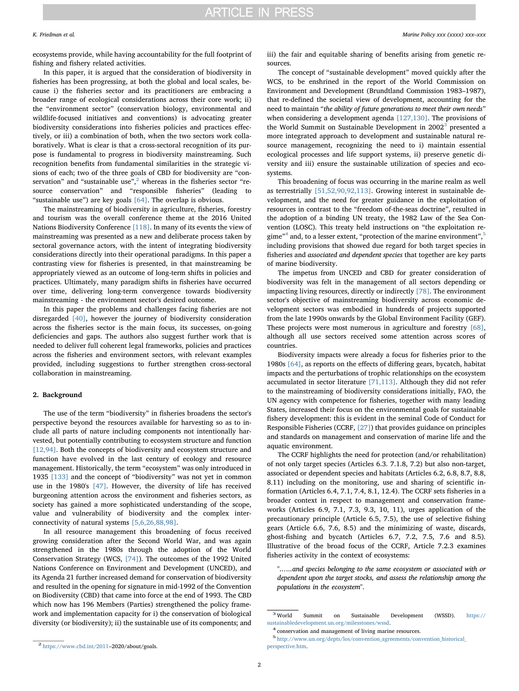ecosystems provide, while having accountability for the full footprint of fishing and fishery related activities.

In this paper, it is argued that the consideration of biodiversity in fisheries has been progressing, at both the global and local scales, because i) the fisheries sector and its practitioners are embracing a broader range of ecological considerations across their core work; ii) the "environment sector" (conservation biology, environmental and wildlife-focused initiatives and conventions) is advocating greater biodiversity considerations into fisheries policies and practices effectively, or iii) a combination of both, when the two sectors work collaboratively. What is clear is that a cross-sectoral recognition of its purpose is fundamental to progress in biodiversity mainstreaming. Such recognition benefits from fundamental similarities in the strategic visions of each; two of the three goals of CBD for biodiversity are "conservation" and "sustainable use", $^2$  $^2$  whereas in the fisheries sector "resource conservation" and "responsible fisheries" (leading to "sustainable use") are key goals [\[64\]](#page-10-3). The overlap is obvious.

The mainstreaming of biodiversity in agriculture, fisheries, forestry and tourism was the overall conference theme at the 2016 United Nations Biodiversity Conference [\[118\]](#page-11-0). In many of its events the view of mainstreaming was presented as a new and deliberate process taken by sectoral governance actors, with the intent of integrating biodiversity considerations directly into their operational paradigms. In this paper a contrasting view for fisheries is presented, in that mainstreaming be appropriately viewed as an outcome of long-term shifts in policies and practices. Ultimately, many paradigm shifts in fisheries have occurred over time, delivering long-term convergence towards biodiversity mainstreaming - the environment sector's desired outcome.

In this paper the problems and challenges facing fisheries are not disregarded [\[40\],](#page-10-4) however the journey of biodiversity consideration across the fisheries sector is the main focus, its successes, on-going deficiencies and gaps. The authors also suggest further work that is needed to deliver full coherent legal frameworks, policies and practices across the fisheries and environment sectors, with relevant examples provided, including suggestions to further strengthen cross-sectoral collaboration in mainstreaming.

## 2. Background

The use of the term "biodiversity" in fisheries broadens the sector's perspective beyond the resources available for harvesting so as to include all parts of nature including components not intentionally harvested, but potentially contributing to ecosystem structure and function [\[12,94\].](#page-9-0) Both the concepts of biodiversity and ecosystem structure and function have evolved in the last century of ecology and resource management. Historically, the term "ecosystem" was only introduced in 1935 [\[133\]](#page-11-1) and the concept of "biodiversity" was not yet in common use in the 1980's [\[47\]](#page-10-5). However, the diversity of life has received burgeoning attention across the environment and fisheries sectors, as society has gained a more sophisticated understanding of the scope, value and vulnerability of biodiversity and the complex interconnectivity of natural systems [\[5,6,26,88,98\].](#page-9-1)

In all resource management this broadening of focus received growing consideration after the Second World War, and was again strengthened in the 1980s through the adoption of the World Conservation Strategy (WCS, [\[74\]](#page-10-6)). The outcomes of the 1992 United Nations Conference on Environment and Development (UNCED), and its Agenda 21 further increased demand for conservation of biodiversity and resulted in the opening for signature in mid-1992 of the Convention on Biodiversity (CBD) that came into force at the end of 1993. The CBD which now has 196 Members (Parties) strengthened the policy framework and implementation capacity for i) the conservation of biological diversity (or biodiversity); ii) the sustainable use of its components; and

iii) the fair and equitable sharing of benefits arising from genetic resources.

The concept of "sustainable development" moved quickly after the WCS, to be enshrined in the report of the World Commission on Environment and Development (Brundtland Commission 1983–1987), that re-defined the societal view of development, accounting for the need to maintain "the ability of future generations to meet their own needs" when considering a development agenda [\[127,130\].](#page-11-2) The provisions of the World Summit on Sustainable Development in 2002<sup>[3](#page-1-1)</sup> presented a more integrated approach to development and sustainable natural resource management, recognizing the need to i) maintain essential ecological processes and life support systems, ii) preserve genetic diversity and iii) ensure the sustainable utilization of species and ecosystems.

This broadening of focus was occurring in the marine realm as well as terrestrially [\[51,52,90,92,113\]](#page-10-7). Growing interest in sustainable development, and the need for greater guidance in the exploitation of resources in contrast to the "freedom of-the-seas doctrine", resulted in the adoption of a binding UN treaty, the 1982 Law of the Sea Convention (LOSC). This treaty held instructions on "the exploitation re-gime"<sup>[4](#page-1-2)</sup> and, to a lesser extent, "protection of the marine environment",<sup>[5](#page-1-3)</sup> including provisions that showed due regard for both target species in fisheries and associated and dependent species that together are key parts of marine biodiversity.

The impetus from UNCED and CBD for greater consideration of biodiversity was felt in the management of all sectors depending or impacting living resources, directly or indirectly [\[78\]](#page-10-8). The environment sector's objective of mainstreaming biodiversity across economic development sectors was embodied in hundreds of projects supported from the late 1990s onwards by the Global Environment Facility (GEF). These projects were most numerous in agriculture and forestry [\[68\]](#page-10-2), although all use sectors received some attention across scores of countries.

Biodiversity impacts were already a focus for fisheries prior to the 1980s [\[64\],](#page-10-3) as reports on the effects of differing gears, bycatch, habitat impacts and the perturbations of trophic relationships on the ecosystem accumulated in sector literature [\[71,113\]](#page-10-9). Although they did not refer to the mainstreaming of biodiversity considerations initially, FAO, the UN agency with competence for fisheries, together with many leading States, increased their focus on the environmental goals for sustainable fishery development: this is evident in the seminal Code of Conduct for Responsible Fisheries (CCRF, [\[27\]\)](#page-10-10) that provides guidance on principles and standards on management and conservation of marine life and the aquatic environment.

The CCRF highlights the need for protection (and/or rehabilitation) of not only target species (Articles 6.3. 7.1.8, 7.2) but also non-target, associated or dependent species and habitats (Articles 6.2, 6.8, 8.7, 8.8, 8.11) including on the monitoring, use and sharing of scientific information (Articles 6.4, 7.1, 7.4, 8.1, 12.4). The CCRF sets fisheries in a broader context in respect to management and conservation frameworks (Articles 6.9, 7.1, 7.3, 9.3, 10, 11), urges application of the precautionary principle (Article 6.5, 7.5), the use of selective fishing gears (Article 6.6, 7.6, 8.5) and the minimizing of waste, discards, ghost-fishing and bycatch (Articles 6.7, 7.2, 7.5, 7.6 and 8.5). Illustrative of the broad focus of the CCRF, Article 7.2.3 examines fisheries activity in the context of ecosystems:

".…..and species belonging to the same ecosystem or associated with or dependent upon the target stocks, and assess the relationship among the populations in the ecosystem".

<span id="page-1-1"></span><sup>3</sup> World Summit on Sustainable Development (WSSD). [https://](https://sustainabledevelopment.un.org/milesstones/wssd) [sustainabledevelopment.un.org/milesstones/wssd.](https://sustainabledevelopment.un.org/milesstones/wssd) <sup>4</sup> conservation and management of living marine resources.

<span id="page-1-2"></span>

<span id="page-1-3"></span> $^{\textbf{5}}$  [http://www.un.org/depts/los/convention\\_agreements/convention\\_historical\\_](http://www.un.org/depts/los/convention_agreements/convention_historical_perspective.htm) [perspective.htm.](http://www.un.org/depts/los/convention_agreements/convention_historical_perspective.htm)

<span id="page-1-0"></span><sup>2</sup> <https://www.cbd.int/2011>–2020/about/goals.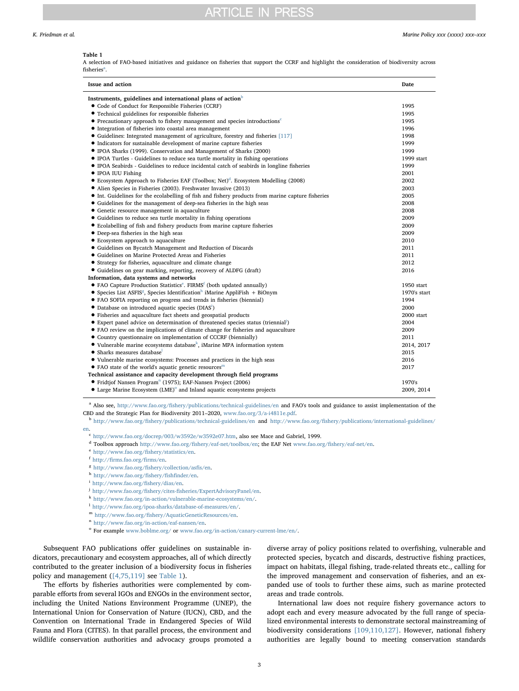## <span id="page-2-0"></span>Table 1

A selection of FAO-based initiatives and guidance on fisheries that support the CCRF and highlight the consideration of biodiversity across fisheries<sup>[a](#page-2-1)</sup>.

| <b>Issue and action</b>                                                                            | Date         |
|----------------------------------------------------------------------------------------------------|--------------|
| Instruments, guidelines and international plans of action <sup>b</sup>                             |              |
| • Code of Conduct for Responsible Fisheries (CCRF)                                                 | 1995         |
| • Technical guidelines for responsible fisheries                                                   | 1995         |
| • Precautionary approach to fishery management and species introductions <sup>c</sup>              | 1995         |
| • Integration of fisheries into coastal area management                                            | 1996         |
| • Guidelines: Integrated management of agriculture, forestry and fisheries [117]                   | 1998         |
| • Indicators for sustainable development of marine capture fisheries                               | 1999         |
| • IPOA Sharks (1999). Conservation and Management of Sharks (2000)                                 | 1999         |
| • IPOA Turtles - Guidelines to reduce sea turtle mortality in fishing operations                   | 1999 start   |
| • IPOA Seabirds - Guidelines to reduce incidental catch of seabirds in longline fisheries          | 1999         |
| • IPOA IUU Fishing                                                                                 | 2001         |
| • Ecosystem Approach to Fisheries EAF (Toolbox; Net) <sup>d</sup> . Ecosystem Modelling (2008)     | 2002         |
| • Alien Species in Fisheries (2003). Freshwater Invasive (2013)                                    | 2003         |
| • Int. Guidelines for the ecolabelling of fish and fishery products from marine capture fisheries  | 2005         |
| • Guidelines for the management of deep-sea fisheries in the high seas                             | 2008         |
| • Genetic resource management in aquaculture                                                       | 2008         |
| • Guidelines to reduce sea turtle mortality in fishing operations                                  | 2009         |
| • Ecolabelling of fish and fishery products from marine capture fisheries                          | 2009         |
| • Deep-sea fisheries in the high seas                                                              | 2009         |
| • Ecosystem approach to aquaculture                                                                | 2010         |
| • Guidelines on Bycatch Management and Reduction of Discards                                       | 2011         |
| • Guidelines on Marine Protected Areas and Fisheries                                               | 2011         |
| • Strategy for fisheries, aquaculture and climate change                                           | 2012         |
| • Guidelines on gear marking, reporting, recovery of ALDFG (draft)                                 | 2016         |
| Information, data systems and networks                                                             |              |
| • FAO Capture Production Statistics <sup>e</sup> . FIRMS <sup>f</sup> (both updated annually)      | 1950 start   |
| • Species List ASFIS <sup>8</sup> , Species Identification <sup>h</sup> iMarine AppliFish + BiOnym | 1970's start |
| • FAO SOFIA reporting on progress and trends in fisheries (biennial)                               | 1994         |
| • Database on introduced aquatic species (DIAS <sup>1</sup> )                                      | 2000         |
| • Fisheries and aquaculture fact sheets and geospatial products                                    | 2000 start   |
| • Expert panel advice on determination of threatened species status (triennial)                    | 2004         |
| • FAO review on the implications of climate change for fisheries and aquaculture                   | 2009         |
| • Country questionnaire on implementation of CCCRF (biennially)                                    | 2011         |
| $\bullet$ Vulnerable marine ecosystems database <sup>k</sup> , iMarine MPA information system      | 2014, 2017   |
| $\bullet$ Sharks measures database <sup>1</sup>                                                    | 2015         |
| • Vulnerable marine ecosystems: Processes and practices in the high seas                           | 2016         |
| $\bullet$ FAO state of the world's aquatic genetic resources <sup>m</sup>                          | 2017         |
| Technical assistance and capacity development through field programs                               |              |
| • Fridtjof Nansen Program <sup>n</sup> (1975); EAF-Nansen Project (2006)                           | 1970's       |
| • Large Marine Ecosystem (LME) <sup>o</sup> and Inland aquatic ecosystems projects                 | 2009, 2014   |
|                                                                                                    |              |

<span id="page-2-1"></span><sup>a</sup> Also see, http://www.fao.org/fi[shery/publications/technical-guidelines/en](http://www.fao.org/fishery/publications/technical-guidelines/en) and FAO's tools and guidance to assist implementation of the CBD and the Strategic Plan for Biodiversity 2011–2020, [www.fao.org/3/a-i4811e.pdf.](http://www.fao.org/3/a-i4811e.pdf)

<span id="page-2-2"></span><sup>b</sup> http://www.fao.org/fi[shery/publications/technical-guidelines/en](http://www.fao.org/fishery/publications/technical-guidelines/en) and http://www.fao.org/fi[shery/publications/international-guidelines/](http://www.fao.org/fishery/publications/international-guidelines/en) [en.](http://www.fao.org/fishery/publications/international-guidelines/en)

<span id="page-2-3"></span><sup>c</sup> [http://www.fao.org/docrep/003/w3592e/w3592e07.htm,](http://www.fao.org/docrep/003/w3592e/w3592e07.htm) also see Mace and Gabriel, 1999.

<span id="page-2-4"></span><sup>d</sup> Toolbox approach http://www.fao.org/fi[shery/eaf-net/toolbox/en](http://www.fao.org/fishery/eaf-net/toolbox/en); the EAF Net www.fao.org/fi[shery/eaf-net/en](http://www.fao.org/fishery/eaf-net/en).

<span id="page-2-5"></span><sup>e</sup> [http://www.fao.org/](http://www.fao.org/fishery/statistics/en)fishery/statistics/en.

- <span id="page-2-6"></span><sup>f</sup> http://fi[rms.fao.org/](http://firms.fao.org/firms/en)firms/en.
- <span id="page-2-7"></span><sup>g</sup> [http://www.fao.org/](http://www.fao.org/fishery/collection/asfis/en)fishery/collection/asfis/en.
- <span id="page-2-8"></span> $^{\rm h}$ [http://www.fao.org/](http://www.fao.org/fishery/fishfinder/en)fishery/fishfinder/en.
- <span id="page-2-9"></span><sup>i</sup> [http://www.fao.org/](http://www.fao.org/fishery/dias/en)fishery/dias/en.
- <span id="page-2-10"></span><sup>j</sup> http://www.fao.org/fishery/cites-fi[sheries/ExpertAdvisoryPanel/en.](http://www.fao.org/fishery/cites-fisheries/ExpertAdvisoryPanel/en)
- <span id="page-2-11"></span> $^{\bf k}$ [http://www.fao.org/in-action/vulnerable-marine-ecosystems/en/.](http://www.fao.org/in-action/vulnerable-marine-ecosystems/en/)
- <span id="page-2-12"></span><sup>l</sup> <http://www.fao.org/ipoa-sharks/database-of-measures/en/>.
- 
- <span id="page-2-13"></span><sup>m</sup> http://www.fao.org/fi[shery/AquaticGeneticResources/en](http://www.fao.org/fishery/AquaticGeneticResources/en).
- <span id="page-2-14"></span><sup>n</sup> [http://www.fao.org/in-action/eaf-nansen/en.](http://www.fao.org/in-action/eaf-nansen/en)
- <span id="page-2-15"></span><sup>o</sup> For example [www.boblme.org/](http://www.boblme.org/) or [www.fao.org/in-action/canary-current-lme/en/.](http://www.fao.org/in-action/canary-current-lme/en/)

Subsequent FAO publications offer guidelines on sustainable indicators, precautionary and ecosystem approaches, all of which directly contributed to the greater inclusion of a biodiversity focus in fisheries policy and management ([\[4,75,119\]](#page-9-2) see [Table 1\)](#page-2-0).

The efforts by fisheries authorities were complemented by comparable efforts from several IGOs and ENGOs in the environment sector, including the United Nations Environment Programme (UNEP), the International Union for Conservation of Nature (IUCN), CBD, and the Convention on International Trade in Endangered Species of Wild Fauna and Flora (CITES). In that parallel process, the environment and wildlife conservation authorities and advocacy groups promoted a

diverse array of policy positions related to overfishing, vulnerable and protected species, bycatch and discards, destructive fishing practices, impact on habitats, illegal fishing, trade-related threats etc., calling for the improved management and conservation of fisheries, and an expanded use of tools to further these aims, such as marine protected areas and trade controls.

International law does not require fishery governance actors to adopt each and every measure advocated by the full range of specialized environmental interests to demonstrate sectoral mainstreaming of biodiversity considerations [\[109,110,127\].](#page-11-3) However, national fishery authorities are legally bound to meeting conservation standards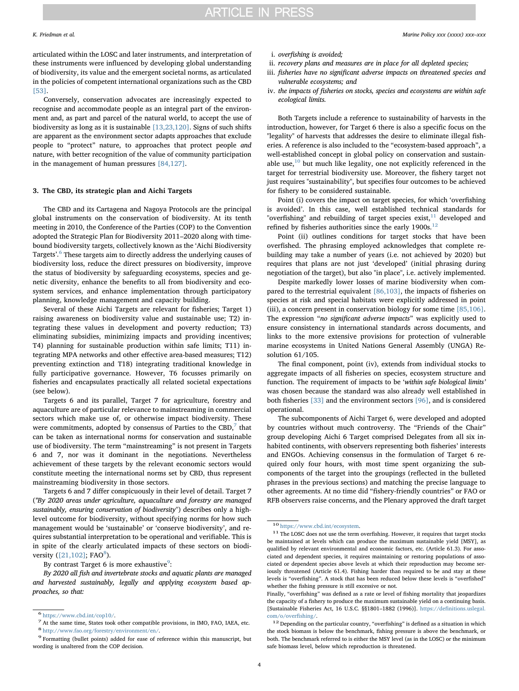articulated within the LOSC and later instruments, and interpretation of these instruments were influenced by developing global understanding of biodiversity, its value and the emergent societal norms, as articulated in the policies of competent international organizations such as the CBD [\[53\]](#page-10-11).

Conversely, conservation advocates are increasingly expected to recognise and accommodate people as an integral part of the environment and, as part and parcel of the natural world, to accept the use of biodiversity as long as it is sustainable [\[13,23,120\].](#page-9-3) Signs of such shifts are apparent as the environment sector adapts approaches that exclude people to "protect" nature, to approaches that protect people and nature, with better recognition of the value of community participation in the management of human pressures [\[84,127\]](#page-11-5).

## <span id="page-3-7"></span>3. The CBD, its strategic plan and Aichi Targets

The CBD and its Cartagena and Nagoya Protocols are the principal global instruments on the conservation of biodiversity. At its tenth meeting in 2010, the Conference of the Parties (COP) to the Convention adopted the Strategic Plan for Biodiversity 2011–2020 along with timebound biodiversity targets, collectively known as the 'Aichi Biodiversity Targets'. [6](#page-3-0) These targets aim to directly address the underlying causes of biodiversity loss, reduce the direct pressures on biodiversity, improve the status of biodiversity by safeguarding ecosystems, species and genetic diversity, enhance the benefits to all from biodiversity and ecosystem services, and enhance implementation through participatory planning, knowledge management and capacity building.

Several of these Aichi Targets are relevant for fisheries; Target 1) raising awareness on biodiversity value and sustainable use; T2) integrating these values in development and poverty reduction; T3) eliminating subsidies, minimizing impacts and providing incentives; T4) planning for sustainable production within safe limits; T11) integrating MPA networks and other effective area-based measures; T12) preventing extinction and T18) integrating traditional knowledge in fully participative governance. However, T6 focusses primarily on fisheries and encapsulates practically all related societal expectations (see below).

Targets 6 and its parallel, Target 7 for agriculture, forestry and aquaculture are of particular relevance to mainstreaming in commercial sectors which make use of, or otherwise impact biodiversity. These were commitments, adopted by consensus of Parties to the CBD, $<sup>7</sup>$  $<sup>7</sup>$  $<sup>7</sup>$  that</sup> can be taken as international norms for conservation and sustainable use of biodiversity. The term "mainstreaming" is not present in Targets 6 and 7, nor was it dominant in the negotiations. Nevertheless achievement of these targets by the relevant economic sectors would constitute meeting the international norms set by CBD, thus represent mainstreaming biodiversity in those sectors.

Targets 6 and 7 differ conspicuously in their level of detail. Target 7 ("By 2020 areas under agriculture, aquaculture and forestry are managed sustainably, ensuring conservation of biodiversity") describes only a highlevel outcome for biodiversity, without specifying norms for how such management would be 'sustainable' or 'conserve biodiversity', and requires substantial interpretation to be operational and verifiable. This is in spite of the clearly articulated impacts of these sectors on biodiversity  $([21, 102]$ ; FAO<sup>[8](#page-3-2)</sup>).

By contrast Target 6 is more exhaustive<sup>[9](#page-3-3)</sup>:

By 2020 all fish and invertebrate stocks and aquatic plants are managed and harvested sustainably, legally and applying ecosystem based approaches, so that:

- i. overfishing is avoided;
- ii. recovery plans and measures are in place for all depleted species;
- iii. fisheries have no significant adverse impacts on threatened species and vulnerable ecosystems; and
- iv. the impacts of fisheries on stocks, species and ecosystems are within safe ecological limits.

Both Targets include a reference to sustainability of harvests in the introduction, however, for Target 6 there is also a specific focus on the "legality" of harvests that addresses the desire to eliminate illegal fisheries. A reference is also included to the "ecosystem-based approach", a well-established concept in global policy on conservation and sustainable use, $10$  but much like legality, one not explicitly referenced in the target for terrestrial biodiversity use. Moreover, the fishery target not just requires "sustainability", but specifies four outcomes to be achieved for fishery to be considered sustainable.

Point (i) covers the impact on target species, for which 'overfishing is avoided'. In this case, well established technical standards for "overfishing" and rebuilding of target species exist, $11$  developed and refined by fisheries authorities since the early 1900s. $^{12}$  $^{12}$  $^{12}$ 

Point (ii) outlines conditions for target stocks that have been overfished. The phrasing employed acknowledges that complete rebuilding may take a number of years (i.e. not achieved by 2020) but requires that plans are not just 'developed' (initial phrasing during negotiation of the target), but also "in place", i.e. actively implemented.

Despite markedly lower losses of marine biodiversity when compared to the terrestrial equivalent [\[86,103\],](#page-11-6) the impacts of fisheries on species at risk and special habitats were explicitly addressed in point (iii), a concern present in conservation biology for some time [\[85,106\]](#page-11-7). The expression "no significant adverse impacts" was explicitly used to ensure consistency in international standards across documents, and links to the more extensive provisions for protection of vulnerable marine ecosystems in United Nations General Assembly (UNGA) Resolution 61/105.

The final component, point (iv), extends from individual stocks to aggregate impacts of all fisheries on species, ecosystem structure and function. The requirement of impacts to be 'within safe biological limits' was chosen because the standard was also already well established in both fisheries [\[33\]](#page-10-12) and the environment sectors [\[96\]](#page-11-8), and is considered operational.

The subcomponents of Aichi Target 6, were developed and adopted by countries without much controversy. The "Friends of the Chair" group developing Aichi 6 Target comprised Delegates from all six inhabited continents, with observers representing both fisheries' interests and ENGOs. Achieving consensus in the formulation of Target 6 required only four hours, with most time spent organizing the subcomponents of the target into the groupings (reflected in the bulleted phrases in the previous sections) and matching the precise language to other agreements. At no time did "fishery-friendly countries" or FAO or RFB observers raise concerns, and the Plenary approved the draft target

<span id="page-3-5"></span><span id="page-3-4"></span> $^{10}$  [https://www.cbd.int/ecosystem.](https://www.cbd.int/ecosystem)  $^{11}$  The LOSC does not use the term overfishing. However, it requires that target stocks  $^{11}$ be maintained at levels which can produce the maximum sustainable yield [MSY], as qualified by relevant environmental and economic factors, etc. (Article 61.3). For associated and dependent species, it requires maintaining or restoring populations of associated or dependent species above levels at which their reproduction may become seriously threatened (Article 61.4). Fishing harder than required to be and stay at these levels is "overfishing". A stock that has been reduced below these levels is "overfished" whether the fishing pressure is still excessive or not.

Finally, "overfishing" was defined as a rate or level of fishing mortality that jeopardizes the capacity of a fishery to produce the maximum sustainable yield on a continuing basis. [Sustainable Fisheries Act, 16 U.S.C. §§1801–1882 (1996)]. https://defi[nitions.uslegal.](https://definitions.uslegal.com/o/overfishing/)

<span id="page-3-1"></span>

<span id="page-3-0"></span> $^{\sf 6}$ <https://www.cbd.int/cop10/>. 7 At the same time, States took other compatible provisions, in IMO, FAO, IAEA, etc.  $^{\sf 8}$ http://www.fao.org/forestry/environment/en/.

<span id="page-3-2"></span>

<span id="page-3-3"></span> $^9$  Formatting (bullet points) added for ease of reference within this manuscript, but wording is unaltered from the COP decision.

<span id="page-3-6"></span> $12$  Depending on the particular country, "overfishing" is defined as a situation in which the stock biomass is below the benchmark, fishing pressure is above the benchmark, or both. The benchmark referred to is either the MSY level (as in the LOSC) or the minimum safe biomass level, below which reproduction is threatened.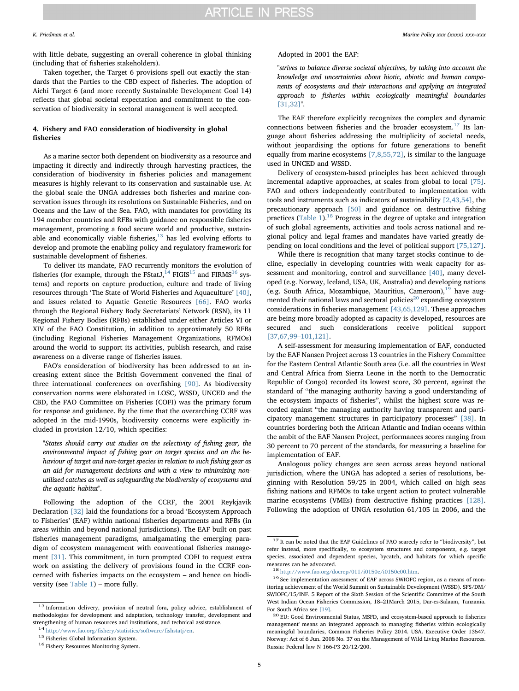with little debate, suggesting an overall coherence in global thinking (including that of fisheries stakeholders).

Taken together, the Target 6 provisions spell out exactly the standards that the Parties to the CBD expect of fisheries. The adoption of Aichi Target 6 (and more recently Sustainable Development Goal 14) reflects that global societal expectation and commitment to the conservation of biodiversity in sectoral management is well accepted.

# <span id="page-4-8"></span>4. Fishery and FAO consideration of biodiversity in global fisheries

As a marine sector both dependent on biodiversity as a resource and impacting it directly and indirectly through harvesting practices, the consideration of biodiversity in fisheries policies and management measures is highly relevant to its conservation and sustainable use. At the global scale the UNGA addresses both fisheries and marine conservation issues through its resolutions on Sustainable Fisheries, and on Oceans and the Law of the Sea. FAO, with mandates for providing its 194 member countries and RFBs with guidance on responsible fisheries management, promoting a food secure world and productive, sustainable and economically viable fisheries, $13$  has led evolving efforts to develop and promote the enabling policy and regulatory framework for sustainable development of fisheries.

To deliver its mandate, FAO recurrently monitors the evolution of fisheries (for example, through the FStatJ, $^{14}$  $^{14}$  $^{14}$  FIGIS<sup>15</sup> and FIRMS<sup>[16](#page-4-3)</sup> systems) and reports on capture production, culture and trade of living resources through 'The State of World Fisheries and Aquaculture' [\[40\]](#page-10-4), and issues related to Aquatic Genetic Resources [\[66\]](#page-10-13). FAO works through the Regional Fishery Body Secretariats' Network (RSN), its 11 Regional Fishery Bodies (RFBs) established under either Articles VI or XIV of the FAO Constitution, in addition to approximately 50 RFBs (including Regional Fisheries Management Organizations, RFMOs) around the world to support its activities, publish research, and raise awareness on a diverse range of fisheries issues.

FAO's consideration of biodiversity has been addressed to an increasing extent since the British Government convened the final of three international conferences on overfishing [\[90\].](#page-11-9) As biodiversity conservation norms were elaborated in LOSC, WSSD, UNCED and the CBD, the FAO Committee on Fisheries (COFI) was the primary forum for response and guidance. By the time that the overarching CCRF was adopted in the mid-1990s, biodiversity concerns were explicitly included in provision 12/10, which specifies:

"States should carry out studies on the selectivity of fishing gear, the environmental impact of fishing gear on target species and on the behaviour of target and non-target species in relation to such fishing gear as an aid for management decisions and with a view to minimizing nonutilized catches as well as safeguarding the biodiversity of ecosystems and the aquatic habitat".

Following the adoption of the CCRF, the 2001 Reykjavik Declaration [\[32\]](#page-10-14) laid the foundations for a broad 'Ecosystem Approach to Fisheries' (EAF) within national fisheries departments and RFBs (in areas within and beyond national jurisdictions). The EAF built on past fisheries management paradigms, amalgamating the emerging paradigm of ecosystem management with conventional fisheries management [\[31\]](#page-10-1). This commitment, in turn prompted COFI to request extra work on assisting the delivery of provisions found in the CCRF concerned with fisheries impacts on the ecosystem – and hence on biodiversity (see [Table 1](#page-2-0)) – more fully.

Adopted in 2001 the EAF:

"strives to balance diverse societal objectives, by taking into account the knowledge and uncertainties about biotic, abiotic and human components of ecosystems and their interactions and applying an integrated approach to fisheries within ecologically meaningful boundaries [\[31,32\]](#page-10-1)".

The EAF therefore explicitly recognizes the complex and dynamic connections between fisheries and the broader ecosystem.<sup>[17](#page-4-4)</sup> Its language about fisheries addressing the multiplicity of societal needs, without jeopardising the options for future generations to benefit equally from marine ecosystems [\[7,8,55,72\]](#page-10-15), is similar to the language used in UNCED and WSSD.

Delivery of ecosystem-based principles has been achieved through incremental adaptive approaches, at scales from global to local [\[75\]](#page-10-16). FAO and others independently contributed to implementation with tools and instruments such as indicators of sustainability  $[2,43,54]$ , the precautionary approach [\[50\]](#page-10-17) and guidance on destructive fishing practices ([Table 1](#page-2-0)).[18](#page-4-5) Progress in the degree of uptake and integration of such global agreements, activities and tools across national and regional policy and legal frames and mandates have varied greatly depending on local conditions and the level of political support [\[75,127\]](#page-11-2).

While there is recognition that many target stocks continue to decline, especially in developing countries with weak capacity for assessment and monitoring, control and surveillance [\[40\],](#page-10-4) many developed (e.g. Norway, Iceland, USA, UK, Australia) and developing nations (e.g. South Africa, Mozambique, Mauritius, Cameroon), $19$  have aug-mented their national laws and sectoral policies<sup>[20](#page-4-7)</sup> expanding ecosystem considerations in fisheries management [\[43,65,129\].](#page-10-18) These approaches are being more broadly adopted as capacity is developed, resources are secured and such considerations receive political support [\[37,67,99](#page-10-19)–101,121].

A self-assessment for measuring implementation of EAF, conducted by the EAF Nansen Project across 13 countries in the Fishery Committee for the Eastern Central Atlantic South area (i.e. all the countries in West and Central Africa from Sierra Leone in the north to the Democratic Republic of Congo) recorded its lowest score, 30 percent, against the standard of "the managing authority having a good understanding of the ecosystem impacts of fisheries", whilst the highest score was recorded against "the managing authority having transparent and participatory management structures in participatory processes" [\[38\]](#page-10-20). In countries bordering both the African Atlantic and Indian oceans within the ambit of the EAF Nansen Project, performances scores ranging from 30 percent to 70 percent of the standards, for measuring a baseline for implementation of EAF.

Analogous policy changes are seen across areas beyond national jurisdiction, where the UNGA has adopted a series of resolutions, beginning with Resolution 59/25 in 2004, which called on high seas fishing nations and RFMOs to take urgent action to protect vulnerable marine ecosystems (VMEs) from destructive fishing practices [\[128\]](#page-11-10). Following the adoption of UNGA resolution 61/105 in 2006, and the

<span id="page-4-0"></span><sup>13</sup> Information delivery, provision of neutral fora, policy advice, establishment of methodologies for development and adaptation, technology transfer, development and strengthening of human resources and institutions, and technical assistance. 14 http://www.fao.org/fi[shery/statistics/software/](http://www.fao.org/fishery/statistics/software/fishstatj/en)fishstatj/en. 15 Fisheries Global Information System. 16 Fishery Resources Monitoring System.

<span id="page-4-2"></span><span id="page-4-1"></span>

<span id="page-4-3"></span>

<span id="page-4-4"></span><sup>&</sup>lt;sup>17</sup> It can be noted that the EAF Guidelines of FAO scarcely refer to "biodiversity", but refer instead, more specifically, to ecosystem structures and components, e.g. target species, associated and dependent species, bycatch, and habitats for which specific

<span id="page-4-6"></span><span id="page-4-5"></span> $^{18}$ <http://www.fao.org/docrep/011/i0150e/i0150e00.htm>. 19 See implementation assessment of EAF across SWIOFC region, as a means of monitoring achievement of the World Summit on Sustainable Development (WSSD). SFS/DM/ SWIOFC/15/INF. 5 Report of the Sixth Session of the Scientific Committee of the South West Indian Ocean Fisheries Commission, 18–21March 2015, Dar-es-Salaam, Tanzania. For South Africa see [\[19\]](#page-9-6). <sup>20</sup> EU: Good Environmental Status, MSFD, and ecosystem-based approach to fisheries

<span id="page-4-7"></span>management' means an integrated approach to managing fisheries within ecologically meaningful boundaries, Common Fisheries Policy 2014. USA. Executive Order 13547. Norway: Act of 6 Jun. 2008 No. 37 on the Management of Wild Living Marine Resources. Russia: Federal law N 166-P3 20/12/200.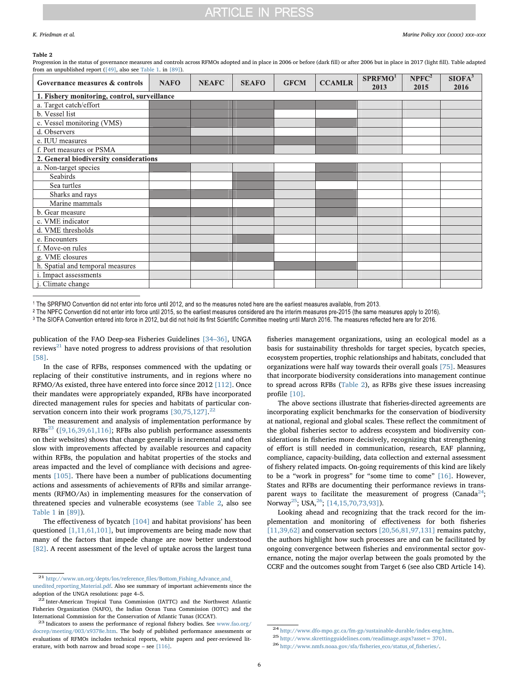# **ARTICLE IN PRESS**

### <span id="page-5-3"></span>Table 2

Progression in the status of governance measures and controls across RFMOs adopted and in place in 2006 or before (dark fill) or after 2006 but in place in 2017 (light fill). Table adapted from an unpublished report ([\[49\]](#page-10-24), also see [Table 1.](#page-2-0) in [\[89\]\)](#page-11-14).

| $\sim$ $\sim$ $\sim$<br>Governance measures & controls | <b>NAFO</b> | <b>NEAFC</b> | <b>SEAFO</b> | <b>GFCM</b> | <b>CCAMLR</b> | SPRFMO <sup>1</sup><br>2013 | $NPFC^2$<br>2015 | SIOFA <sup>3</sup><br>2016 |  |  |
|--------------------------------------------------------|-------------|--------------|--------------|-------------|---------------|-----------------------------|------------------|----------------------------|--|--|
| 1. Fishery monitoring, control, surveillance           |             |              |              |             |               |                             |                  |                            |  |  |
| a. Target catch/effort                                 |             |              |              |             |               |                             |                  |                            |  |  |
| b. Vessel list                                         |             |              |              |             |               |                             |                  |                            |  |  |
| c. Vessel monitoring (VMS)                             |             |              |              |             |               |                             |                  |                            |  |  |
| d. Observers                                           |             |              |              |             |               |                             |                  |                            |  |  |
| e. IUU measures                                        |             |              |              |             |               |                             |                  |                            |  |  |
| f. Port measures or PSMA                               |             |              |              |             |               |                             |                  |                            |  |  |
| 2. General biodiversity considerations                 |             |              |              |             |               |                             |                  |                            |  |  |
| a. Non-target species                                  |             |              |              |             |               |                             |                  |                            |  |  |
| Seabirds                                               |             |              |              |             |               |                             |                  |                            |  |  |
| Sea turtles                                            |             |              |              |             |               |                             |                  |                            |  |  |
| Sharks and rays                                        |             |              |              |             |               |                             |                  |                            |  |  |
| Marine mammals                                         |             |              |              |             |               |                             |                  |                            |  |  |
| b. Gear measure                                        |             |              |              |             |               |                             |                  |                            |  |  |
| c. VME indicator                                       |             |              |              |             |               |                             |                  |                            |  |  |
| d. VME thresholds                                      |             |              |              |             |               |                             |                  |                            |  |  |
| e. Encounters                                          |             |              |              |             |               |                             |                  |                            |  |  |
| f. Move-on rules                                       |             |              |              |             |               |                             |                  |                            |  |  |
| g. VME closures                                        |             |              |              |             |               |                             |                  |                            |  |  |
| h. Spatial and temporal measures                       |             |              |              |             |               |                             |                  |                            |  |  |
| i. Impact assessments                                  |             |              |              |             |               |                             |                  |                            |  |  |
| j. Climate change                                      |             |              |              |             |               |                             |                  |                            |  |  |

1 The SPRFMO Convention did not enter into force until 2012, and so the measures noted here are the earliest measures available, from 2013.

<sup>2</sup> The NPFC Convention did not enter into force until 2015, so the earliest measures considered are the interim measures pre-2015 (the same measures apply to 2016).

<sup>3</sup> The SIOFA Convention entered into force in 2012, but did not hold its first Scientific Committee meeting until March 2016. The measures reflected here are for 2016.

publication of the FAO Deep-sea Fisheries Guidelines [\[34](#page-10-21)–36], UNGA reviews $^{21}$  $^{21}$  $^{21}$  have noted progress to address provisions of that resolution [\[58\]](#page-10-22).

In the case of RFBs, responses commenced with the updating or replacing of their constitutive instruments, and in regions where no RFMO/As existed, three have entered into force since 2012 [\[112\]](#page-11-11). Once their mandates were appropriately expanded, RFBs have incorporated directed management rules for species and habitats of particular conservation concern into their work programs  $[30,75,127]$ .<sup>[22](#page-5-1)</sup>

The measurement and analysis of implementation performance by  $RFBs<sup>23</sup>$  $RFBs<sup>23</sup>$  $RFBs<sup>23</sup>$  ([\[9,16,39,61,116\]](#page-11-12); RFBs also publish performance assessments on their websites) shows that change generally is incremental and often slow with improvements affected by available resources and capacity within RFBs, the population and habitat properties of the stocks and areas impacted and the level of compliance with decisions and agreements [\[105\].](#page-11-13) There have been a number of publications documenting actions and assessments of achievements of RFBs and similar arrangements (RFMO/As) in implementing measures for the conservation of threatened species and vulnerable ecosystems (see [Table 2](#page-5-3), also see [Table 1](#page-2-0) in [\[89\]](#page-11-14)).

The effectiveness of bycatch [\[104\]](#page-11-15) and habitat provisions' has been questioned [\[1,11,61,101\],](#page-9-7) but improvements are being made now that many of the factors that impede change are now better understood [\[82\]](#page-11-16). A recent assessment of the level of uptake across the largest tuna

fisheries management organizations, using an ecological model as a basis for sustainability thresholds for target species, bycatch species, ecosystem properties, trophic relationships and habitats, concluded that organizations were half way towards their overall goals [\[75\]](#page-10-16). Measures that incorporate biodiversity considerations into management continue to spread across RFBs ([Table 2](#page-5-3)), as RFBs give these issues increasing profile [\[10\]](#page-9-8).

The above sections illustrate that fisheries-directed agreements are incorporating explicit benchmarks for the conservation of biodiversity at national, regional and global scales. These reflect the commitment of the global fisheries sector to address ecosystem and biodiversity considerations in fisheries more decisively, recognizing that strengthening of effort is still needed in communication, research, EAF planning, compliance, capacity-building, data collection and external assessment of fishery related impacts. On-going requirements of this kind are likely to be a "work in progress" for "some time to come" [\[16\]](#page-9-9). However, States and RFBs are documenting their performance reviews in trans-parent ways to facilitate the measurement of progress (Canada<sup>[24](#page-5-4)</sup>; Norway<sup>[25](#page-5-5)</sup>; USA, <sup>26</sup>; [14, 15, 70, 73, 93]).

Looking ahead and recognizing that the track record for the implementation and monitoring of effectiveness for both fisheries [\[11,39,62\]](#page-9-11) and conservation sectors [\[20,56,81,97,131\]](#page-9-12) remains patchy, the authors highlight how such processes are and can be facilitated by ongoing convergence between fisheries and environmental sector governance, noting the major overlap between the goals promoted by the CCRF and the outcomes sought from Target 6 (see also CBD Article 14).

<span id="page-5-0"></span><sup>21</sup> [http://www.un.org/depts/los/reference\\_](http://www.un.org/depts/los/reference_files/Bottom_Fishing_Advance_and_unedited_reporting_Material.pdf)files/Bottom\_Fishing\_Advance\_and\_

[unedited\\_reporting\\_Material.pdf.](http://www.un.org/depts/los/reference_files/Bottom_Fishing_Advance_and_unedited_reporting_Material.pdf) Also see summary of important achievements since the

<span id="page-5-1"></span>adoption of the UNGA resolutions: page 4–5.<br> $^{22}$  Inter-American Tropical Tuna Commission (IATTC) and the Northwest Atlantic Fisheries Organization (NAFO), the Indian Ocean Tuna Commission (IOTC) and the International Commission for the Conservation of Atlantic Tunas (ICCAT). <sup>23</sup> Indicators to assess the performance of regional fishery bodies. See [www.fao.org/](http://www.fao.org/docrep/meeting/003/x9378e.htm)

<span id="page-5-2"></span>[docrep/meeting/003/x9378e.htm](http://www.fao.org/docrep/meeting/003/x9378e.htm). The body of published performance assessments or evaluations of RFMOs includes technical reports, white papers and peer-reviewed literature, with both narrow and broad scope – see [\[116\]](#page-11-12).

<span id="page-5-5"></span><span id="page-5-4"></span><sup>24</sup> <http://www.dfo-mpo.gc.ca/fm-gp/sustainable-durable/index-eng.htm>. 25 http://www.skrettingguidelines.com/readimage.aspx?asset = 3701. 26 [http://www.nmfs.noaa.gov/sfa/](http://www.nmfs.noaa.gov/sfa/fisheries_eco/status_of_fisheries/)fisheries\_eco/status\_of\_fisheries/.

<span id="page-5-6"></span>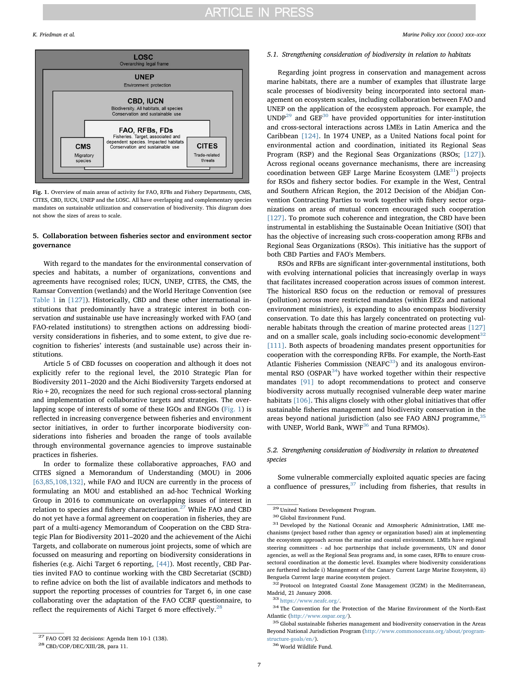<span id="page-6-0"></span>

Fig. 1. Overview of main areas of activity for FAO, RFBs and Fishery Departments, CMS, CITES, CBD, IUCN, UNEP and the LOSC. All have overlapping and complementary species mandates on sustainable utilization and conservation of biodiversity. This diagram does not show the sizes of areas to scale.

## <span id="page-6-11"></span>5. Collaboration between fisheries sector and environment sector governance

With regard to the mandates for the environmental conservation of species and habitats, a number of organizations, conventions and agreements have recognised roles; IUCN, UNEP, CITES, the CMS, the Ramsar Convention (wetlands) and the World Heritage Convention (see [Table 1](#page-2-0) in [\[127\]](#page-11-2)). Historically, CBD and these other international institutions that predominantly have a strategic interest in both conservation and sustainable use have increasingly worked with FAO (and FAO-related institutions) to strengthen actions on addressing biodiversity considerations in fisheries, and to some extent, to give due recognition to fisheries' interests (and sustainable use) across their institutions.

Article 5 of CBD focusses on cooperation and although it does not explicitly refer to the regional level, the 2010 Strategic Plan for Biodiversity 2011–2020 and the Aichi Biodiversity Targets endorsed at Rio+20, recognizes the need for such regional cross-sectoral planning and implementation of collaborative targets and strategies. The overlapping scope of interests of some of these IGOs and ENGOs [\(Fig. 1\)](#page-6-0) is reflected in increasing convergence between fisheries and environment sector initiatives, in order to further incorporate biodiversity considerations into fisheries and broaden the range of tools available through environmental governance agencies to improve sustainable practices in fisheries.

In order to formalize these collaborative approaches, FAO and CITES signed a Memorandum of Understanding (MOU) in 2006 [\[63,85,108,132\],](#page-10-25) while FAO and IUCN are currently in the process of formulating an MOU and established an ad-hoc Technical Working Group in 2016 to communicate on overlapping issues of interest in relation to species and fishery characterization.<sup>[27](#page-6-1)</sup> While FAO and CBD do not yet have a formal agreement on cooperation in fisheries, they are part of a multi-agency Memorandum of Cooperation on the CBD Strategic Plan for Biodiversity 2011–2020 and the achievement of the Aichi Targets, and collaborate on numerous joint projects, some of which are focussed on measuring and reporting on biodiversity considerations in fisheries (e.g. Aichi Target 6 reporting, [\[44\]](#page-10-26)). Most recently, CBD Parties invited FAO to continue working with the CBD Secretariat (SCBD) to refine advice on both the list of available indicators and methods to support the reporting processes of countries for Target 6, in one case collaborating over the adaptation of the FAO CCRF questionnaire, to reflect the requirements of Aichi Target 6 more effectively.<sup>[28](#page-6-2)</sup>

### 5.1. Strengthening consideration of biodiversity in relation to habitats

Regarding joint progress in conservation and management across marine habitats, there are a number of examples that illustrate large scale processes of biodiversity being incorporated into sectoral management on ecosystem scales, including collaboration between FAO and UNEP on the application of the ecosystem approach. For example, the  $\mathsf{UNDP}^{29}$  $\mathsf{UNDP}^{29}$  $\mathsf{UNDP}^{29}$  and  $\mathsf{GEF}^{30}$  $\mathsf{GEF}^{30}$  $\mathsf{GEF}^{30}$  have provided opportunities for inter-institution and cross-sectoral interactions across LMEs in Latin America and the Caribbean [\[124\]](#page-11-17). In 1974 UNEP, as a United Nations focal point for environmental action and coordination, initiated its Regional Seas Program (RSP) and the Regional Seas Organizations (RSOs; [\[127\]](#page-11-2)). Across regional oceans governance mechanisms, there are increasing coordination between GEF Large Marine Ecosystem  $(LME<sup>31</sup>)$  $(LME<sup>31</sup>)$  $(LME<sup>31</sup>)$  projects for RSOs and fishery sector bodies. For example in the West, Central and Southern African Region, the 2012 Decision of the Abidjan Convention Contracting Parties to work together with fishery sector organizations on areas of mutual concern encouraged such cooperation [\[127\].](#page-11-2) To promote such coherence and integration, the CBD have been instrumental in establishing the Sustainable Ocean Initiative (SOI) that has the objective of increasing such cross-cooperation among RFBs and Regional Seas Organizations (RSOs). This initiative has the support of both CBD Parties and FAO's Members.

RSOs and RFBs are significant inter-governmental institutions, both with evolving international policies that increasingly overlap in ways that facilitates increased cooperation across issues of common interest. The historical RSO focus on the reduction or removal of pressures (pollution) across more restricted mandates (within EEZs and national environment ministries), is expanding to also encompass biodiversity conservation. To date this has largely concentrated on protecting vulnerable habitats through the creation of marine protected areas [\[127\]](#page-11-2) and on a smaller scale, goals including socio-economic development $32$ [\[111\].](#page-11-18) Both aspects of broadening mandates present opportunities for cooperation with the corresponding RFBs. For example, the North-East Atlantic Fisheries Commission (NEAFC<sup>33</sup>) and its analogous environmental RSO (OSPAR $34$ ) have worked together within their respective mandates [\[91\]](#page-11-19) to adopt recommendations to protect and conserve biodiversity across mutually recognised vulnerable deep water marine habitats [\[106\].](#page-11-20) This aligns closely with other global initiatives that offer sustainable fisheries management and biodiversity conservation in the areas beyond national jurisdiction (also see FAO ABNJ programme, <sup>[35](#page-6-9)</sup> with UNEP, World Bank, WWF $^{36}$  $^{36}$  $^{36}$  and Tuna RFMOs).

# 5.2. Strengthening consideration of biodiversity in relation to threatened species

Some vulnerable commercially exploited aquatic species are facing a confluence of pressures,  $37$  including from fisheries, that results in

<span id="page-6-6"></span>

<span id="page-6-8"></span>

<span id="page-6-1"></span> $^{27}$  FAO COFI 32 decisions: Agenda Item 10-1 (138).  $^{28}$  CBD/COP/DEC/XIII/28, para 11.

<span id="page-6-2"></span>

<span id="page-6-4"></span>

<span id="page-6-5"></span>

<span id="page-6-3"></span> $^{29}$  United Nations Development Program.  $^{30}$  Global Environment Fund.  $^{31}$  Developed by the National Oceanic and Atmospheric Administration, LME mechanisms (project based rather than agency or organization based) aim at implementing the ecosystem approach across the marine and coastal environment. LMEs have regional steering committees - ad hoc partnerships that include governments, UN and donor agencies, as well as the Regional Seas programs and, in some cases, RFBs to ensure crosssectoral coordination at the domestic level. Examples where biodiversity considerations are furthered include i) Management of the Canary Current Large Marine Ecosystem, ii) Benguela Current large marine ecosystem project. <sup>32</sup> Protocol on Integrated Coastal Zone Management (ICZM) in the Mediterranean,

<span id="page-6-7"></span>Madrid, 21 January 2008.  $^{33}$  [https://www.neafc.org/.](https://www.neafc.org/)<br> $^{34}$  The Convention for the Protection of the Marine Environment of the North-East  $^{34}$  The Convention for the Protection of the Marine Environment of the North-

<span id="page-6-9"></span>Atlantic [\(http://www.ospar.org/](http://www.ospar.org/)). 35 Global sustainable fisheries management and biodiversity conservation in the Areas Beyond National Jurisdiction Program ([http://www.commonoceans.org/about/program](http://www.commonoceans.org/about/program-structure-goals/en/)[structure-goals/en/](http://www.commonoceans.org/about/program-structure-goals/en/)). <sup>36</sup> World Wildlife Fund.

<span id="page-6-10"></span>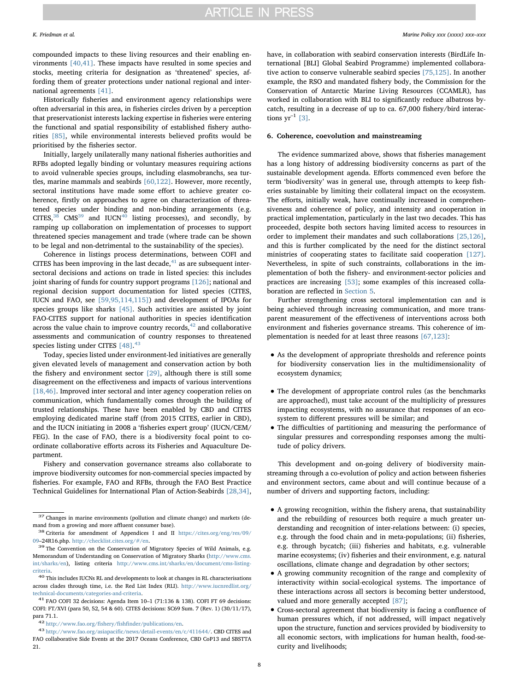compounded impacts to these living resources and their enabling environments [\[40,41\]](#page-10-4). These impacts have resulted in some species and stocks, meeting criteria for designation as 'threatened' species, affording them of greater protections under national regional and international agreements [\[41\].](#page-10-27)

Historically fisheries and environment agency relationships were often adversarial in this area, in fisheries circles driven by a perception that preservationist interests lacking expertise in fisheries were entering the functional and spatial responsibility of established fishery authorities [\[85\]](#page-11-7), while environmental interests believed profits would be prioritised by the fisheries sector.

Initially, largely unilaterally many national fisheries authorities and RFBs adopted legally binding or voluntary measures requiring actions to avoid vulnerable species groups, including elasmobranchs, sea turtles, marine mammals and seabirds [\[60,122\]](#page-10-28). However, more recently, sectoral institutions have made some effort to achieve greater coherence, firstly on approaches to agree on characterization of threatened species under binding and non-binding arrangements (e.g. CITES, $38$  CMS $39$  and IUCN $40$  listing processes), and secondly, by ramping up collaboration on implementation of processes to support threatened species management and trade (where trade can be shown to be legal and non-detrimental to the sustainability of the species).

Coherence in listings process determinations, between COFI and CITES has been improving in the last decade, $41$  as are subsequent intersectoral decisions and actions on trade in listed species: this includes joint sharing of funds for country support programs [\[126\]](#page-11-21); national and regional decision support documentation for listed species (CITES, IUCN and FAO, see [\[59,95,114,115\]\)](#page-10-29) and development of IPOAs for species groups like sharks [\[45\]](#page-10-30). Such activities are assisted by joint FAO-CITES support for national authorities in species identification across the value chain to improve country records, $42$  and collaborative assessments and communication of country responses to threatened species listing under CITES [\[48\]](#page-10-31).<sup>[43](#page-7-6)</sup>

Today, species listed under environment-led initiatives are generally given elevated levels of management and conservation action by both the fishery and environment sector [\[29\],](#page-10-32) although there is still some disagreement on the effectiveness and impacts of various interventions [\[18,46\].](#page-9-13) Improved inter sectoral and inter agency cooperation relies on communication, which fundamentally comes through the building of trusted relationships. These have been enabled by CBD and CITES employing dedicated marine staff (from 2015 CITES, earlier in CBD), and the IUCN initiating in 2008 a 'fisheries expert group' (IUCN/CEM/ FEG). In the case of FAO, there is a biodiversity focal point to coordinate collaborative efforts across its Fisheries and Aquaculture Department.

Fishery and conservation governance streams also collaborate to improve biodiversity outcomes for non-commercial species impacted by fisheries. For example, FAO and RFBs, through the FAO Best Practice Technical Guidelines for International Plan of Action-Seabirds [\[28,34\]](#page-10-33),

have, in collaboration with seabird conservation interests (BirdLife International [BLI] Global Seabird Programme) implemented collaborative action to conserve vulnerable seabird species [\[75,125\]](#page-10-16). In another example, the RSO and mandated fishery body, the Commission for the Conservation of Antarctic Marine Living Resources (CCAMLR), has worked in collaboration with BLI to significantly reduce albatross bycatch, resulting in a decrease of up to ca. 67,000 fishery/bird interactions  $yr^{-1}$  [\[3\].](#page-9-14)

# 6. Coherence, coevolution and mainstreaming

The evidence summarized above, shows that fisheries management has a long history of addressing biodiversity concerns as part of the sustainable development agenda. Efforts commenced even before the term 'biodiversity' was in general use, through attempts to keep fisheries sustainable by limiting their collateral impact on the ecosystem. The efforts, initially weak, have continually increased in comprehensiveness and coherence of policy, and intensity and cooperation in practical implementation, particularly in the last two decades. This has proceeded, despite both sectors having limited access to resources in order to implement their mandates and such collaborations [\[25,126\]](#page-9-15), and this is further complicated by the need for the distinct sectoral ministries of cooperating states to facilitate said cooperation [\[127\]](#page-11-2). Nevertheless, in spite of such constraints, collaborations in the implementation of both the fishery- and environment-sector policies and practices are increasing [\[53\]](#page-10-11); some examples of this increased collaboration are reflected in [Section 5.](#page-6-11)

Further strengthening cross sectoral implementation can and is being achieved through increasing communication, and more transparent measurement of the effectiveness of interventions across both environment and fisheries governance streams. This coherence of implementation is needed for at least three reasons [\[67,123\]](#page-10-34):

- As the development of appropriate thresholds and reference points for biodiversity conservation lies in the multidimensionality of ecosystem dynamics;
- The development of appropriate control rules (as the benchmarks are approached), must take account of the multiplicity of pressures impacting ecosystems, with no assurance that responses of an ecosystem to different pressures will be similar; and
- The difficulties of partitioning and measuring the performance of singular pressures and corresponding responses among the multitude of policy drivers.

This development and on-going delivery of biodiversity mainstreaming through a co-evolution of policy and action between fisheries and environment sectors, came about and will continue because of a number of drivers and supporting factors, including:

- A growing recognition, within the fishery arena, that sustainability and the rebuilding of resources both require a much greater understanding and recognition of inter-relations between: (i) species, e.g. through the food chain and in meta-populations; (ii) fisheries, e.g. through bycatch; (iii) fisheries and habitats, e.g. vulnerable marine ecosystems; (iv) fisheries and their environment, e.g. natural oscillations, climate change and degradation by other sectors;
- A growing community recognition of the range and complexity of interactivity within social-ecological systems. The importance of these interactions across all sectors is becoming better understood, valued and more generally accepted [\[87\];](#page-11-22)
- Cross-sectoral agreement that biodiversity is facing a confluence of human pressures which, if not addressed, will impact negatively upon the structure, function and services provided by biodiversity to all economic sectors, with implications for human health, food-security and livelihoods;

<span id="page-7-0"></span><sup>37</sup> Changes in marine environments (pollution and climate change) and markets (de-

<span id="page-7-1"></span>mand from a growing and more affluent consumer base). 38 Criteria for amendment of Appendices I and II [https://cites.org/eng/res/09/](https://cites.org/eng/res/09/09)09–24R16.php. http://checklist.cites.org/#/en.

<span id="page-7-2"></span><sup>&</sup>lt;sup>39</sup> The Convention on the Conservation of Migratory Species of Wild Animals, e.g. Memorandum of Understanding on Conservation of Migratory Sharks ([http://www.cms.](http://www.cms.int/sharks/en) [int/sharks/en](http://www.cms.int/sharks/en)), listing criteria [http://www.cms.int/sharks/en/document/cms-listing](http://www.cms.int/sharks/en/document/cms-listing-criteria)[criteria.](http://www.cms.int/sharks/en/document/cms-listing-criteria) <sup>40</sup> This includes IUCNs RL and developments to look at changes in RL characterisations

<span id="page-7-3"></span>across clades through time, i.e. the Red List Index (RLI). [http://www.iucnredlist.org/](http://www.iucnredlist.org/technical-documents/categories-and-criteria) [technical-documents/categories-and-criteria](http://www.iucnredlist.org/technical-documents/categories-and-criteria).<br><sup>41</sup> FAO COFI 32 decisions: Agenda Item 10–1 (71:136 & 138). COFI FT 69 decisions:

<span id="page-7-4"></span>COFI: FT/XVI (para 50, 52, 54 & 60). CITES decisions: SC69 Sum. 7 (Rev. 1) (30/11/17),

<span id="page-7-5"></span><sup>&</sup>lt;sup>42</sup> http://www.fao.org/fishery/fishfi[nder/publications/en.](http://www.fao.org/fishery/fishfinder/publications/en)<br><sup>43</sup> http://www.fao.org/asiapacifi[c/news/detail-events/en/c/411644/.](http://www.fao.org/asiapacific/news/detail-events/en/c/411644/) **CBD CITES and** 

<span id="page-7-6"></span>FAO collaborative Side Events at the 2017 Oceans Conference, CBD CoP13 and SBSTTA 21.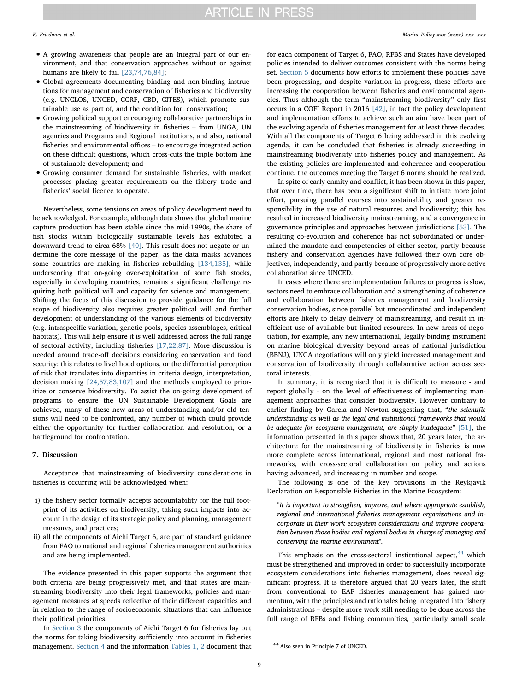- A growing awareness that people are an integral part of our environment, and that conservation approaches without or against humans are likely to fail [\[23,74,76,84\];](#page-9-16)
- Global agreements documenting binding and non-binding instructions for management and conservation of fisheries and biodiversity (e.g. UNCLOS, UNCED, CCRF, CBD, CITES), which promote sustainable use as part of, and the condition for, conservation;
- Growing political support encouraging collaborative partnerships in the mainstreaming of biodiversity in fisheries – from UNGA, UN agencies and Programs and Regional institutions, and also, national fisheries and environmental offices – to encourage integrated action on these difficult questions, which cross-cuts the triple bottom line of sustainable development; and
- Growing consumer demand for sustainable fisheries, with market processes placing greater requirements on the fishery trade and fisheries' social licence to operate.

Nevertheless, some tensions on areas of policy development need to be acknowledged. For example, although data shows that global marine capture production has been stable since the mid-1990s, the share of fish stocks within biologically sustainable levels has exhibited a downward trend to circa 68% [\[40\].](#page-10-4) This result does not negate or undermine the core message of the paper, as the data masks advances some countries are making in fisheries rebuilding [\[134,135\],](#page-11-23) while underscoring that on-going over-exploitation of some fish stocks, especially in developing countries, remains a significant challenge requiring both political will and capacity for science and management. Shifting the focus of this discussion to provide guidance for the full scope of biodiversity also requires greater political will and further development of understanding of the various elements of biodiversity (e.g. intraspecific variation, genetic pools, species assemblages, critical habitats). This will help ensure it is well addressed across the full range of sectoral activity, including fisheries [\[17,22,87\]](#page-9-17). More discussion is needed around trade-off decisions considering conservation and food security: this relates to livelihood options, or the differential perception of risk that translates into disparities in criteria design, interpretation, decision making [\[24,57,83,107\]](#page-9-18) and the methods employed to prioritize or conserve biodiversity. To assist the on-going development of programs to ensure the UN Sustainable Development Goals are achieved, many of these new areas of understanding and/or old tensions will need to be confronted, any number of which could provide either the opportunity for further collaboration and resolution, or a battleground for confrontation.

## 7. Discussion

Acceptance that mainstreaming of biodiversity considerations in fisheries is occurring will be acknowledged when:

- i) the fishery sector formally accepts accountability for the full footprint of its activities on biodiversity, taking such impacts into account in the design of its strategic policy and planning, management measures, and practices;
- ii) all the components of Aichi Target 6, are part of standard guidance from FAO to national and regional fisheries management authorities and are being implemented.

The evidence presented in this paper supports the argument that both criteria are being progressively met, and that states are mainstreaming biodiversity into their legal frameworks, policies and management measures at speeds reflective of their different capacities and in relation to the range of socioeconomic situations that can influence their political priorities.

In [Section 3](#page-3-7) the components of Aichi Target 6 for fisheries lay out the norms for taking biodiversity sufficiently into account in fisheries management. [Section 4](#page-4-8) and the information [Tables 1, 2](#page-2-0) document that for each component of Target 6, FAO, RFBS and States have developed policies intended to deliver outcomes consistent with the norms being set. [Section](#page-6-11) 5 documents how efforts to implement these policies have been progressing, and despite variation in progress, these efforts are increasing the cooperation between fisheries and environmental agencies. Thus although the term "mainstreaming biodiversity" only first occurs in a COFI Report in 2016 [\[42\],](#page-10-35) in fact the policy development and implementation efforts to achieve such an aim have been part of the evolving agenda of fisheries management for at least three decades. With all the components of Target 6 being addressed in this evolving agenda, it can be concluded that fisheries is already succeeding in mainstreaming biodiversity into fisheries policy and management. As the existing policies are implemented and coherence and cooperation continue, the outcomes meeting the Target 6 norms should be realized.

In spite of early enmity and conflict, it has been shown in this paper, that over time, there has been a significant shift to initiate more joint effort, pursuing parallel courses into sustainability and greater responsibility in the use of natural resources and biodiversity; this has resulted in increased biodiversity mainstreaming, and a convergence in governance principles and approaches between jurisdictions [\[53\]](#page-10-11). The resulting co-evolution and coherence has not subordinated or undermined the mandate and competencies of either sector, partly because fishery and conservation agencies have followed their own core objectives, independently, and partly because of progressively more active collaboration since UNCED.

In cases where there are implementation failures or progress is slow, sectors need to embrace collaboration and a strengthening of coherence and collaboration between fisheries management and biodiversity conservation bodies, since parallel but uncoordinated and independent efforts are likely to delay delivery of mainstreaming, and result in inefficient use of available but limited resources. In new areas of negotiation, for example, any new international, legally-binding instrument on marine biological diversity beyond areas of national jurisdiction (BBNJ), UNGA negotiations will only yield increased management and conservation of biodiversity through collaborative action across sectoral interests.

In summary, it is recognised that it is difficult to measure - and report globally - on the level of effectiveness of implementing management approaches that consider biodiversity. However contrary to earlier finding by Garcia and Newton suggesting that, "the scientific understanding as well as the legal and institutional frameworks that would be adequate for ecosystem management, are simply inadequate"  $[51]$ , the information presented in this paper shows that, 20 years later, the architecture for the mainstreaming of biodiversity in fisheries is now more complete across international, regional and most national frameworks, with cross-sectoral collaboration on policy and actions having advanced, and increasing in number and scope.

The following is one of the key provisions in the Reykjavik Declaration on Responsible Fisheries in the Marine Ecosystem:

"It is important to strengthen, improve, and where appropriate establish, regional and international fisheries management organizations and incorporate in their work ecosystem considerations and improve cooperation between those bodies and regional bodies in charge of managing and conserving the marine environment".

This emphasis on the cross-sectoral institutional aspect,<sup>[44](#page-8-0)</sup> which must be strengthened and improved in order to successfully incorporate ecosystem considerations into fisheries management, does reveal significant progress. It is therefore argued that 20 years later, the shift from conventional to EAF fisheries management has gained momentum, with the principles and rationales being integrated into fishery administrations – despite more work still needing to be done across the full range of RFBs and fishing communities, particularly small scale

<span id="page-8-0"></span><sup>44</sup> Also seen in Principle 7 of UNCED.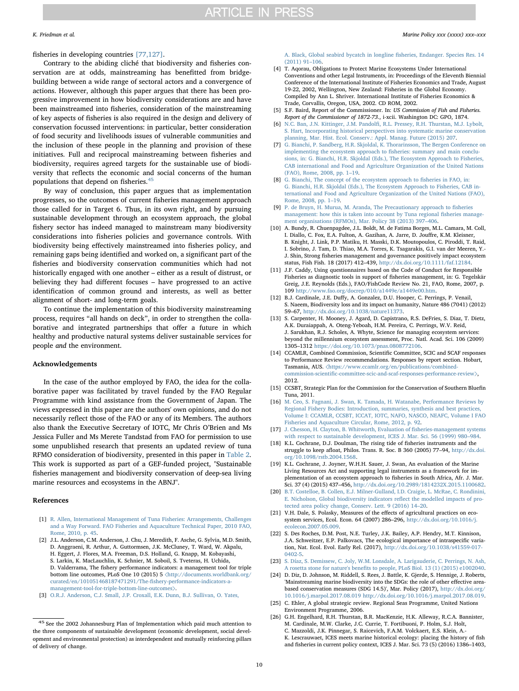K. Friedman et al. *Marine Policy xxx (xxxx) xxx–xxx*

fisheries in developing countries [\[77,127\]](#page-10-36).

Contrary to the abiding cliché that biodiversity and fisheries conservation are at odds, mainstreaming has benefitted from bridgebuilding between a wide range of sectoral actors and a convergence of actions. However, although this paper argues that there has been progressive improvement in how biodiversity considerations are and have been mainstreamed into fisheries, consideration of the mainstreaming of key aspects of fisheries is also required in the design and delivery of conservation focussed interventions: in particular, better consideration of food security and livelihoods issues of vulnerable communities and the inclusion of these people in the planning and provision of these initiatives. Full and reciprocal mainstreaming between fisheries and biodiversity, requires agreed targets for the sustainable use of biodiversity that reflects the economic and social concerns of the human populations that depend on fisheries.[45](#page-9-19)

By way of conclusion, this paper argues that as implementation progresses, so the outcomes of current fisheries management approach those called for in Target 6. Thus, in its own right, and by pursuing sustainable development through an ecosystem approach, the global fishery sector has indeed managed to mainstream many biodiversity considerations into fisheries policies and governance controls. With biodiversity being effectively mainstreamed into fisheries policy, and remaining gaps being identified and worked on, a significant part of the fisheries and biodiversity conservation communities which had not historically engaged with one another – either as a result of distrust, or believing they had different focuses – have progressed to an active identification of common ground and interests, as well as better alignment of short- and long-term goals.

To continue the implementation of this biodiversity mainstreaming process, requires "all hands on deck", in order to strengthen the collaborative and integrated partnerships that offer a future in which healthy and productive natural systems deliver sustainable services for people and the environment.

# Acknowledgements

In the case of the author employed by FAO, the idea for the collaborative paper was facilitated by travel funded by the FAO Regular Programme with kind assistance from the Government of Japan. The views expressed in this paper are the authors' own opinions, and do not necessarily reflect those of the FAO or any of its Members. The authors also thank the Executive Secretary of IOTC, Mr Chris O'Brien and Ms Jessica Fuller and Ms Merete Tandstad from FAO for permission to use some unpublished research that presents an updated review of tuna RFMO consideration of biodiversity, presented in this paper in [Table 2](#page-5-3). This work is supported as part of a GEF-funded project, "Sustainable fisheries management and biodiversity conservation of deep-sea living marine resources and ecosystems in the ABNJ".

### References

- <span id="page-9-7"></span>[1] [R. Allen, International Management of Tuna Fisheries: Arrangements, Challenges](http://refhub.elsevier.com/S0308-597X(17)30544-4/sbref1) [and a Way Forward. FAO Fisheries and Aquaculture Technical Paper, 2010 FAO,](http://refhub.elsevier.com/S0308-597X(17)30544-4/sbref1) [Rome, 2010, p. 45.](http://refhub.elsevier.com/S0308-597X(17)30544-4/sbref1)
- <span id="page-9-5"></span>[2] J.L. Anderson, C.M. Anderson, J. Chu, J. Meredith, F. Asche, G. Sylvia, M.D. Smith, D. Anggraeni, R. Arthur, A. Guttormsen, J.K. McCluney, T. Ward, W. Akpalu, H. Eggert, J. Flores, M.A. Freeman, D.S. Holland, G. Knapp, M. Kobayashi, S. Larkin, K. MacLauchlin, K. Schnier, M. Soboil, S. Tveteras, H. Uchida, D. Valderrama, The fishery performance indicators: a management tool for triple bottom line outcomes, PLoS One 10 (2015) 5 〈[http://documents.worldbank.org/](http://documents.worldbank.org/curated/en/101051468187471291/The-fishery-performance-indicators-a-management-tool-for-triple-bottom-line-outcomes) [curated/en/101051468187471291/The-](http://documents.worldbank.org/curated/en/101051468187471291/The-fishery-performance-indicators-a-management-tool-for-triple-bottom-line-outcomes)fishery-performance-indicators-a- $\small \textsf{manager-} \textsf{tool-for-triple-bottom-line-outcomes}\textsf{.}$
- <span id="page-9-14"></span>[3] [O.R.J. Anderson, C.J. Small, J.P. Croxall, E.K. Dunn, B.J. Sullivan, O. Yates,](http://refhub.elsevier.com/S0308-597X(17)30544-4/sbref3)

[A. Black, Global seabird bycatch in longline](http://refhub.elsevier.com/S0308-597X(17)30544-4/sbref3) fisheries, Endanger. Species Res. 14 [\(2011\) 91](http://refhub.elsevier.com/S0308-597X(17)30544-4/sbref3)–106.

- <span id="page-9-2"></span>[4] T. Aqorau, Obligations to Protect Marine Ecosystems Under International Conventions and other Legal Instruments, in: Proceedings of the Eleventh Biennial Conference of the International Institute of Fisheries Economics and Trade, August 19-22, 2002, Wellington, New Zealand: Fisheries in the Global Economy. Compiled by Ann L. Shriver. International Institute of Fisheries Economics & Trade, Corvallis, Oregon, USA, 2002. CD ROM, 2002.
- <span id="page-9-1"></span>[5] S.F. Baird, Report of the Commissioner. In: US Commission of Fish and Fisheries. Report of the Commissioner of 1872-73., i-xcii. Washington DC: GPO, 1874.
- [6] N.C. Ban, J.N. Kittinger, J.M. Pandolfi[, R.L. Pressey, R.H. Thurstan, M.J. Lybolt,](http://refhub.elsevier.com/S0308-597X(17)30544-4/sbref4) [S. Hart, Incorporating historical perspectives into systematic marine conservation](http://refhub.elsevier.com/S0308-597X(17)30544-4/sbref4) [planning, Mar. Hist. Ecol. Conserv.: Appl. Manag. Future \(2015\) 207.](http://refhub.elsevier.com/S0308-597X(17)30544-4/sbref4)
- [7] [G. Bianchi, P. Sandberg, H.R. Skjoldal, K. Thorarinsson, The Bergen Conference on](http://refhub.elsevier.com/S0308-597X(17)30544-4/sbref5) [implementing the ecosystem approach to](http://refhub.elsevier.com/S0308-597X(17)30544-4/sbref5) fisheries: summary and main conclu[sions, in: G. Bianchi, H.R. Skjoldal \(Eds.\), The Ecosystem Approach to Fisheries,](http://refhub.elsevier.com/S0308-597X(17)30544-4/sbref5) [CAB international and Food and Agriculture Organization of the United Nations](http://refhub.elsevier.com/S0308-597X(17)30544-4/sbref5) [\(FAO\), Rome, 2008, pp. 1](http://refhub.elsevier.com/S0308-597X(17)30544-4/sbref5)–19.
- [8] [G. Bianchi, The concept of the ecosystem approach to](http://refhub.elsevier.com/S0308-597X(17)30544-4/sbref6) fisheries in FAO, in: [G. Bianchi, H.R. Skjoldal \(Eds.\), The Ecosystem Approach to Fisheries, CAB in](http://refhub.elsevier.com/S0308-597X(17)30544-4/sbref6)[ternational and Food and Agriculture Organization of the United Nations \(FAO\),](http://refhub.elsevier.com/S0308-597X(17)30544-4/sbref6) [Rome, 2008, pp. 1](http://refhub.elsevier.com/S0308-597X(17)30544-4/sbref6)–19.
- [9] [P. de Bruyn, H. Murua, M. Aranda, The Precautionary approach to](http://refhub.elsevier.com/S0308-597X(17)30544-4/sbref7) fisheries [management: how this is taken into account by Tuna regional](http://refhub.elsevier.com/S0308-597X(17)30544-4/sbref7) fisheries manage[ment organisations \(RFMOs\), Mar. Policy 38 \(2013\) 397](http://refhub.elsevier.com/S0308-597X(17)30544-4/sbref7)–406.
- <span id="page-9-8"></span>[10] A. Bundy, R. Chuenpagdee, J.L. Boldt, M. de Fatima Borges, M.L. Camara, M. Coll, I. Diallo, C. Fox, E.A. Fulton, A. Gazihan, A. Jarre, D. Jouffre, K.M. Kleisner, B. Knight, J. Link, P.P. Matiku, H. Masski, D.K. Moutopoulos, C. Piroddi, T. Raid, I. Sobrino, J. Tam, D. Thiao, M.A. Torres, K. Tsagarakis, G.I. van der Meeren, Y.- J. Shin, Strong fisheries management and governance positively impact ecosystem status, Fish Fish. 18 (2017) 412–439, [http://dx.doi.org/10.1111/faf.12184.](http://dx.doi.org/10.1111/faf.12184)
- <span id="page-9-11"></span>[11] J.F. Caddy, Using questionnaires based on the Code of Conduct for Responsible Fisheries as diagnostic tools in support of fisheries management, in: G. Tegelskär Greig, J.E. Reynolds (Eds.), FAO/FishCode Review No. 21, FAO, Rome, 2007, p. 109 <http://www.fao.org/docrep/010/a1449e/a1449e00.htm>.
- <span id="page-9-0"></span>[12] B.J. Cardinale, J.E. Duffy, A. Gonzalez, D.U. Hooper, C. Perrings, P. Venail, S. Naeem, Biodiversity loss and its impact on humanity, Nature 486 (7041) (2012) 59–67, [http://dx.doi.org/10.1038/nature11373.](http://dx.doi.org/10.1038/nature11373)
- <span id="page-9-3"></span>[13] S. Carpenter, H. Mooney, J. Agard, D. Capistrano, R.S. DeFries, S. Diaz, T. Dietz, A.K. Duraiappah, A. Oteng-Yeboah, H.M. Pereira, C. Perrings, W.V. Reid, J. Sarukhan, R.J. Scholes, A. Whyte, Science for managing ecosystem services: beyond the millennium ecosystem assessment, Proc. Natl. Acad. Sci. 106 (2009) 1305–1312 <https://doi.org/10.1073/pnas.0808772106>.
- <span id="page-9-10"></span>[14] CCAMLR, Combined Commission, Scientific Committee, SCIC and SCAF responses to Performance Review recommendations. Responses by report section. Hobart, Tasmania, AUS. 〈[https://www.ccamlr.org/en/publications/combined](https://www.ccamlr.org/en/publications/combined-commission-scientific-committee-scic-and-scaf-responses-performance-review)commission-scientifi[c-committee-scic-and-scaf-responses-performance-review](https://www.ccamlr.org/en/publications/combined-commission-scientific-committee-scic-and-scaf-responses-performance-review)〉, 2012.
- [15] CCSBT, Strategic Plan for the Commission for the Conservation of Southern Bluefin Tuna, 2011.
- <span id="page-9-9"></span>[16] [M. Ceo, S. Fagnani, J. Swan, K. Tamada, H. Watanabe, Performance Reviews by](http://refhub.elsevier.com/S0308-597X(17)30544-4/sbref12) [Regional Fishery Bodies: Introduction, summaries, synthesis and best practices,](http://refhub.elsevier.com/S0308-597X(17)30544-4/sbref12) [Volume I: CCAMLR, CCSBT, ICCAT, IOTC, NAFO, NASCO, NEAFC, Volume I FAO](http://refhub.elsevier.com/S0308-597X(17)30544-4/sbref12) [Fisheries and Aquaculture Circular, Rome, 2012, p. 92.](http://refhub.elsevier.com/S0308-597X(17)30544-4/sbref12)
- <span id="page-9-17"></span>[17] [J. Chesson, H. Clayton, B. Whitworth, Evaluation of](http://refhub.elsevier.com/S0308-597X(17)30544-4/sbref13) fisheries-management systems [with respect to sustainable development, ICES J. Mar. Sci. 56 \(1999\) 980](http://refhub.elsevier.com/S0308-597X(17)30544-4/sbref13)–984.
- <span id="page-9-13"></span>[18] K.L. Cochrane, D.J. Doulman, The rising tide of fisheries instruments and the struggle to keep afloat, Philos. Trans. R. Soc. B 360 (2005) 77–94, [http://dx.doi.](http://dx.doi.org/10.1098/rstb.2004.1568) [org/10.1098/rstb.2004.1568.](http://dx.doi.org/10.1098/rstb.2004.1568)
- <span id="page-9-6"></span>[19] K.L. Cochrane, J. Joyner, W.H.H. Sauer, J. Swan, An evaluation of the Marine Living Resources Act and supporting legal instruments as a framework for implementation of an ecosystem approach to fisheries in South Africa, Afr. J. Mar. Sci. 37 (4) (2015) 437–456, [http://dx.doi.org/10.2989/1814232X.2015.1100682.](http://dx.doi.org/10.2989/1814232X.2015.1100682)
- <span id="page-9-12"></span>[20] [B.T. Costelloe, B. Collen, E.J. Milner-Gulland, I.D. Craigie, L. McRae, C. Rondinini,](http://refhub.elsevier.com/S0308-597X(17)30544-4/sbref16) [E. Nicholson, Global biodiversity indicators re](http://refhub.elsevier.com/S0308-597X(17)30544-4/sbref16)flect the modelled impacts of pro[tected area policy change, Conserv. Lett. 9 \(2016\) 14](http://refhub.elsevier.com/S0308-597X(17)30544-4/sbref16)–20.
- <span id="page-9-4"></span>[21] V.H. Dale, S. Polasky, Measures of the effects of agricultural practices on ecosystem services, Ecol. Econ. 64 (2007) 286–296, [http://dx.doi.org/10.1016/j.](http://dx.doi.org/10.1016/j.ecolecon.2007.05.009) [ecolecon.2007.05.009.](http://dx.doi.org/10.1016/j.ecolecon.2007.05.009)
- [22] S. Des Roches, D.M. Post, N.E. Turley, J.K. Bailey, A.P. Hendry, M.T. Kinnison, J.A. Schweitzer, E.P. Palkovacs, The ecological importance of intraspecific variation, Nat. Ecol. Evol. Early Rel. (2017), [http://dx.doi.org/10.1038/s41559-017-](http://dx.doi.org/10.1038/s41559-017-0402-5) [0402-5.](http://dx.doi.org/10.1038/s41559-017-0402-5)
- <span id="page-9-16"></span>[23] [S. Díaz, S. Demissew, C. Joly, W.M. Lonsdale, A. Larigauderie, C. Perrings, N. Ash,](http://refhub.elsevier.com/S0308-597X(17)30544-4/sbref19) A rosetta stone for nature's benefi[ts to people, PLoS Biol. 13 \(1\) \(2015\) e1002040.](http://refhub.elsevier.com/S0308-597X(17)30544-4/sbref19)
- <span id="page-9-18"></span>[24] D. Diz, D. Johnson, M. Riddell, S. Rees, J. Battle, K. Gjerde, S. Hennige, J. Roberts, 'Mainstreaming marine biodiversity into the SDGs: the role of other effective areabased conservation measures (SDG 14.5)', Mar. Policy (2017), [http://dx.doi.org/](http://dx.doi.org/10.1016/j.marpol.2017.08.019) [10.1016/j.marpol.2017.08.019 http://dx.doi.org/10.1016/j.marpol.2017.08.019.](http://dx.doi.org/10.1016/j.marpol.2017.08.019)
- <span id="page-9-15"></span>[25] C. Ehler, A global strategic review. Regional Seas Programme, United Nations Environment Programme, 2006.
- [26] G.H. Engelhard, R.H. Thurstan, B.R. MacKenzie, H.K. Alleway, R.C.A. Bannister, M. Cardinale, M.W. Clarke, J.C. Currie, T. Fortibuoni, P. Holm, S.J. Holt, C. Mazzoldi, J.K. Pinnegar, S. Raicevich, F.A.M. Volckaert, E.S. Klein, A.- K. Lescrauwaet, ICES meets marine historical ecology: placing the history of fish and fisheries in current policy context, ICES J. Mar. Sci. 73 (5) (2016) 1386–1403,

<span id="page-9-19"></span><sup>45</sup> See the 2002 Johannesburg Plan of Implementation which paid much attention to the three components of sustainable development (economic development, social development and environmental protection) as interdependent and mutually reinforcing pillars of delivery of change.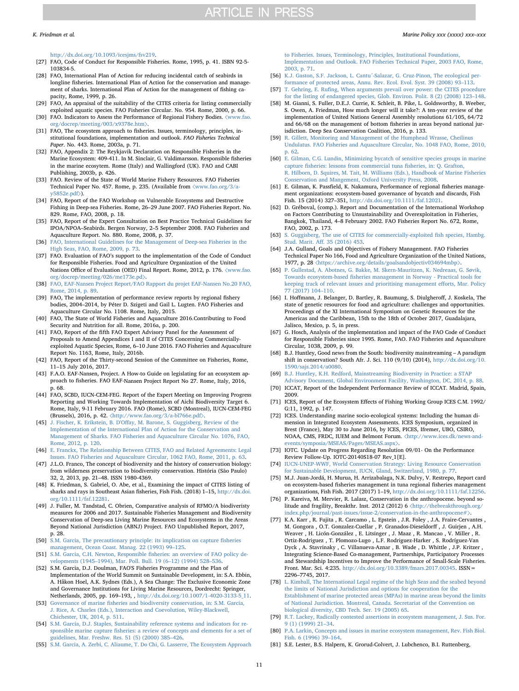## K. Friedman et al. *Marine Policy xxx (xxxx) xxx–xxx*

[http://dx.doi.org/10.1093/icesjms/fsv219.](http://dx.doi.org/10.1093/icesjms/fsv219)

- <span id="page-10-10"></span>[27] FAO, Code of Conduct for Responsible Fisheries. Rome, 1995, p. 41. ISBN 92-5- 103834-5.
- <span id="page-10-33"></span>[28] FAO, International Plan of Action for reducing incidental catch of seabirds in longline fisheries. International Plan of Action for the conservation and management of sharks. International Plan of Action for the management of fishing capacity, Rome, 1999, p. 26.
- <span id="page-10-32"></span>[29] FAO, An appraisal of the suitability of the CITES criteria for listing commercially exploited aquatic species. FAO Fisheries Circular. No. 954. Rome, 2000, p. 66.
- <span id="page-10-23"></span>[30] FAO. Indicators to Assess the Performance of Regional Fishery Bodies. 〈[www.fao.](http://www.fao.org/docrep/meeting/003/x9378e.htm) [org/docrep/meeting/003/x9378e.htm](http://www.fao.org/docrep/meeting/003/x9378e.htm)〉.
- <span id="page-10-1"></span>[31] FAO, The ecosystem approach to fisheries. Issues, terminology, principles, institutional foundations, implementation and outlook. FAO Fisheries Technical Paper. No. 443. Rome, 2003a, p. 71.
- <span id="page-10-14"></span>[32] FAO, Appendix 2: The Reykjavik Declaration on Responsible Fisheries in the Marine Ecosystem: 409-411. In M. Sinclair, G. Valdimarsson. Responsible fisheries in the marine ecosytem. Rome (Italy) and Wallingford (UK). FAO and CABI Publishing, 2003b, p. 426.
- <span id="page-10-12"></span>[33] FAO. Review of the State of World Marine Fishery Resources. FAO Fisheries Technical Paper No. 457. Rome, p. 235. (Available from 〈[www.fao.org/3/a-](http://www.fao.org/3/a-y5852e.pdf) $\sqrt{5852e.pdf}$ .
- <span id="page-10-21"></span>[34] FAO, Report of the FAO Workshop on Vulnerable Ecosystems and Destructive Fishing in Deep-sea Fisheries. Rome, 26–29 June 2007. FAO Fisheries Report. No. 829. Rome, FAO, 2008, p. 18.
- [35] FAO, Report of the Expert Consultation on Best Practice Technical Guidelines for IPOA/NPOA–Seabirds. Bergen Norway, 2–5 September 2008. FAO Fisheries and Aquaculture Report. No. 880. Rome, 2008, p. 37.
- [36] [FAO, International Guidelines for the Management of Deep-sea Fisheries in the](http://refhub.elsevier.com/S0308-597X(17)30544-4/sbref22) [High Seas, FAO, Rome, 2009, p. 73.](http://refhub.elsevier.com/S0308-597X(17)30544-4/sbref22)
- <span id="page-10-19"></span>[37] FAO. Evaluation of FAO's support to the implementation of the Code of Conduct for Responsible Fisheries. Food and Agriculture Organization of the United Nations Office of Evaluation (OED) Final Report. Rome, 2012, p. 176. 〈[www.fao.](http://www.fao.org/docrep/meeting/026/me173e.pd) [org/docrep/meeting/026/me173e.pd](http://www.fao.org/docrep/meeting/026/me173e.pd)〉.
- <span id="page-10-20"></span>[38] [FAO, EAF-Nansen Project Report/FAO Rapport du projet EAF-Nansen No.20 FAO,](http://refhub.elsevier.com/S0308-597X(17)30544-4/sbref23) [Rome, 2014, p. 89.](http://refhub.elsevier.com/S0308-597X(17)30544-4/sbref23)
- [39] FAO. The implementation of performance review reports by regional fishery bodies, 2004–2014, by Péter D. Szigeti and Gail L. Lugten. FAO Fisheries and Aquaculture Circular No. 1108. Rome, Italy, 2015.
- <span id="page-10-4"></span>[40] FAO, The State of World Fisheries and Aquaculture 2016.Contributing to Food Security and Nutrition for all. Rome, 2016a, p. 200.
- <span id="page-10-27"></span>[41] FAO, Report of the fifth FAO Expert Advisory Panel for the Assessment of Proposals to Amend Appendices I and II of CITES Concerning Commerciallyexploited Aquatic Species, Rome, 6–10 June 2016. FAO Fisheries and Aquaculture Report No. 1163, Rome, Italy, 2016b.
- <span id="page-10-35"></span>[42] FAO, Report of the Thirty-second Session of the Committee on Fisheries, Rome, 11–15 July 2016, 2017.
- <span id="page-10-18"></span>[43] F.A.O. EAF-Nansen, Project. A How-to Guide on legislating for an ecosystem approach to fisheries. FAO EAF‐Nansen Project Report No 27. Rome, Italy, 2016, p. 68.
- <span id="page-10-26"></span>[44] FAO, SCBD, IUCN-CEM-FEG. Report of the Expert Meeting on Improving Progress Reporting and Working Towards Implementation of Aichi Biodiversity Target 6. Rome, Italy, 9-11 February 2016. FAO (Rome), SCBD (Montreal), IUCN-CEM-FEG (Brussels), 2016, p. 42. 〈<http://www.fao.org/3/a-bl766e.pdf>〉.
- <span id="page-10-30"></span>[45] J. Fischer, K. Erikstein, B. D'Off[ay, M. Barone, S. Guggisberg, Review of the](http://refhub.elsevier.com/S0308-597X(17)30544-4/sbref24) [Implementation of the International Plan of Action for the Conservation and](http://refhub.elsevier.com/S0308-597X(17)30544-4/sbref24) [Management of Sharks. FAO Fisheries and Aquaculture Circular No. 1076, FAO,](http://refhub.elsevier.com/S0308-597X(17)30544-4/sbref24) [Rome, 2012, p. 120.](http://refhub.elsevier.com/S0308-597X(17)30544-4/sbref24)
- [46] [E. Franckx, The Relationship Between CITES, FAO and Related Agreements: Legal](http://refhub.elsevier.com/S0308-597X(17)30544-4/sbref25) [Issues. FAO Fisheries and Aquaculture Circular, 1062 FAO, Rome, 2011, p. 63.](http://refhub.elsevier.com/S0308-597X(17)30544-4/sbref25)
- <span id="page-10-5"></span>[47] J.L.O. Franco, The concept of biodiversity and the history of conservation biology: from wilderness preservation to biodiversity conservation. História (São Paulo) 32, 2, 2013, pp. 21–48. ISSN 1980-4369.
- <span id="page-10-31"></span>[48] K. Friedman, S. Gabriel, O. Abe, et al., Examining the impact of CITES listing of sharks and rays in Southeast Asian fisheries, Fish Fish. (2018) 1–15, [http://dx.doi.](http://dx.doi.org/10.1111/faf.12281) [org/10.1111/faf.12281.](http://dx.doi.org/10.1111/faf.12281)
- <span id="page-10-24"></span>[49] J. Fuller, M. Tandstad, C. Obrien, Comparative analysis of RFMO/A biodiveristy measures for 2006 and 2017. Sustainable Fisheries Management and Biodiversity Conservation of Deep-sea Living Marine Resources and Ecosystems in the Areas Beyond National Jurisdiction (ABNJ) Project. FAO Unpublished Report, 2017, p. 28.
- <span id="page-10-17"></span>[50] [S.M. Garcia, The precautionary principle: its implication on capture](http://refhub.elsevier.com/S0308-597X(17)30544-4/sbref27) fisheries [management, Ocean Coast. Manag. 22 \(1993\) 99](http://refhub.elsevier.com/S0308-597X(17)30544-4/sbref27)–125.
- <span id="page-10-7"></span>[51] S.M. Garcia, C.H. Newton, Responsible fi[sheries: an overview of FAO policy de](http://refhub.elsevier.com/S0308-597X(17)30544-4/sbref28)velopments (1945–[1994\), Mar. Poll. Bull. 19 \(6](http://refhub.elsevier.com/S0308-597X(17)30544-4/sbref28)–12) (1994) 528–536.
- [52] S.M. Garcia, D.J. Doulman, FAO'S Fisheries Programme and the Plan of Implementation of the World Summit on Sustainable Development, in: S.A. Ebbin, A. Håkon Hoel, A.K. Sydnes (Eds.), A Sea Change: The Exclusive Economic Zone and Governance Institutions for Living Marine Resources, Dordrecht: Springer, Netherlands, 2005, pp. 169–193, , [http://dx.doi.org/10.1007/1-4020-3133-5\\_11.](http://dx.doi.org/10.1007/1-4020-3133-5_11)
- <span id="page-10-11"></span>[53] Governance of marine fi[sheries and biodiversity conservation, in: S.M. Garcia,](http://refhub.elsevier.com/S0308-597X(17)30544-4/sbref30) [J. Rice, A. Charles \(Eds.\), Interaction and Coevolution, Wiley-Blackwell,](http://refhub.elsevier.com/S0308-597X(17)30544-4/sbref30) [Chichester, UK, 2014, p. 511.](http://refhub.elsevier.com/S0308-597X(17)30544-4/sbref30)
- [54] [S.M. Garcia, D.J. Staples, Sustainability reference systems and indicators for re](http://refhub.elsevier.com/S0308-597X(17)30544-4/sbref31)sponsible marine capture fi[sheries: a review of concepts and elements for a set of](http://refhub.elsevier.com/S0308-597X(17)30544-4/sbref31) [guidelines, Mar. Freshw. Res. 51 \(5\) \(2000\) 385](http://refhub.elsevier.com/S0308-597X(17)30544-4/sbref31)–426.
- <span id="page-10-15"></span>[55] [S.M. Garcia, A. Zerbi, C. Aliaume, T. Do Chi, G. Lasserre, The Ecosystem Approach](http://refhub.elsevier.com/S0308-597X(17)30544-4/sbref32)

[to Fisheries. Issues, Terminology, Principles, Institutional Foundations,](http://refhub.elsevier.com/S0308-597X(17)30544-4/sbref32) [Implementation and Outlook. FAO Fisheries Technical Paper, 2003 FAO, Rome,](http://refhub.elsevier.com/S0308-597X(17)30544-4/sbref32) [2003, p. 71.](http://refhub.elsevier.com/S0308-597X(17)30544-4/sbref32)

- [56] [K.J. Gaston, S.F. Jackson, L. Cantu´-Salazar, G. Cruz-Pinon, The ecological per](http://refhub.elsevier.com/S0308-597X(17)30544-4/sbref33)[formance of protected areas, Annu. Rev. Ecol. Evol. Syst. 39 \(2008\) 93](http://refhub.elsevier.com/S0308-597X(17)30544-4/sbref33)–113.
- T. Gehring, E. Rufi[ng, When arguments prevail over power: the CITES procedure](http://refhub.elsevier.com/S0308-597X(17)30544-4/sbref34) [for the listing of endangered species, Glob. Environ. Polit. 8 \(2\) \(2008\) 123](http://refhub.elsevier.com/S0308-597X(17)30544-4/sbref34)–148. [58] M. Gianni, S. Fuller, D.E.J. Currie, K. Schleit, B. Pike, L. Goldsworthy, B. Weeber,
- <span id="page-10-22"></span>S. Owen, A. Friedman, How much longer will it take?: A ten-year review of the implementation of United Nations General Assembly resolutions 61/105, 64/72 and 66/68 on the management of bottom fisheries in areas beyond national jurisdiction. Deep Sea Conservation Coalition, 2016, p. 133.
- <span id="page-10-29"></span>[59] [R. Gillett, Monitoring and Management of the Humphead Wrasse, Cheilinus](http://refhub.elsevier.com/S0308-597X(17)30544-4/sbref35) [Undulatus. FAO Fisheries and Aquaculture Circular, No. 1048 FAO, Rome, 2010,](http://refhub.elsevier.com/S0308-597X(17)30544-4/sbref35) [p. 62.](http://refhub.elsevier.com/S0308-597X(17)30544-4/sbref35)
- <span id="page-10-28"></span>[60] [E. Gilman, C.G. Lundin, Minimizing bycatch of sensitive species groups in marine](http://refhub.elsevier.com/S0308-597X(17)30544-4/sbref36) capture fi[sheries: lessons from commercial tuna](http://refhub.elsevier.com/S0308-597X(17)30544-4/sbref36) fisheries, in: Q. Grafton, [R. Hilborn, D. Squires, M. Tait, M. Williams \(Eds.\), Handbook of Marine Fisheries](http://refhub.elsevier.com/S0308-597X(17)30544-4/sbref36) [Conservation and Mangement, Oxford University Press, 2008.](http://refhub.elsevier.com/S0308-597X(17)30544-4/sbref36)
- [61] E. Gilman, K. Passfield, K. Nakamura, Performance of regional fisheries management organizations: ecosystem-based governance of bycatch and discards, Fish Fish. 15 (2014) 327–351, [http://dx.doi.org/10.1111/faf.12021.](http://dx.doi.org/10.1111/faf.12021)
- [62] D. Gréboval, (comp.). Report and Documentation of the International Workshop on Factors Contributing to Unsustainability and Overexploitation in Fisheries, Bangkok, Thailand, 4–8 February 2002. FAO Fisheries Report No. 672, Rome, FAO, 2002, p. 173.
- <span id="page-10-25"></span>[63] [S. Guggisberg, The use of CITES for commercially-exploited](http://refhub.elsevier.com/S0308-597X(17)30544-4/sbref38) fish species, Hambg. Stud. Marit. Aff[. 35 \(2016\) 453.](http://refhub.elsevier.com/S0308-597X(17)30544-4/sbref38)
- <span id="page-10-3"></span>[64] J.A. Gulland, Goals and Objectives of Fishery Management. FAO Fisheries Technical Paper No 166, Food and Agriculture Organization of the United Nations, 1977, p. 28 〈<https://archive.org/details/goalsandobjectiv034694mbp>〉.
- [65] [P. Gullestad, A. Abotnes, G. Bakke, M. Skern-Mauritzen, K. Nedreaas, G. Søvik,](http://refhub.elsevier.com/S0308-597X(17)30544-4/sbref40) Towards ecosystem-based fi[sheries management in Norway - Practical tools for](http://refhub.elsevier.com/S0308-597X(17)30544-4/sbref40) [keeping track of relevant issues and prioritising management e](http://refhub.elsevier.com/S0308-597X(17)30544-4/sbref40)fforts, Mar. Policy [77 \(2017\) 104](http://refhub.elsevier.com/S0308-597X(17)30544-4/sbref40)–110.
- <span id="page-10-13"></span>[66] I. Hoffmann, J. Belanger, D. Bartley, R. Baumung, S. Diulgheroff, J. Koskela, The state of genetic resources for food and agriculture: challenges and opportunities. Proceedings of the XI International Symposium on Genetic Resources for the Americas and the Caribbean, 15th to the 18th of October 2017, Guadalajara, Jalisco, Mexico, p. 5, in press.
- <span id="page-10-34"></span>[67] G. Hosch, Analysis of the implementation and impact of the FAO Code of Conduct for Responsible Fisheries since 1995. Rome, FAO. FAO Fisheries and Aquaculture Circular, 1038, 2009, p. 99.
- <span id="page-10-2"></span>[68] B.J. Huntley, Good news from the South: biodiversity mainstreaming – A paradigm shift in conservation? South Afr. J. Sci. 110 (9/10) (2014), [http://dx.doi.org/10.](http://dx.doi.org/10.1590/sajs.2014/a0080) [1590/sajs.2014/a0080.](http://dx.doi.org/10.1590/sajs.2014/a0080)
- [69] [B.J. Huntley, K.H. Redford, Mainstreaming Biodiversity in Practice: a STAP](http://refhub.elsevier.com/S0308-597X(17)30544-4/sbref42) [Advisory Document, Global Environment Facility, Washington, DC, 2014, p. 88.](http://refhub.elsevier.com/S0308-597X(17)30544-4/sbref42)
- [70] ICCAT, Report of the Independent Performance Review of ICCAT. Madrid, Spain, 2009.
- <span id="page-10-9"></span>[71] ICES, Report of the Ecosystem Effects of Fishing Working Group ICES C.M. 1992/ G:11, 1992, p. 147.
- [72] ICES. Understanding marine socio-ecological systems: Including the human dimension in Integrated Ecosystem Assessments. ICES Symposium, organized in Brest (France), May 30 to June 2016, by ICES, PICES, Ifremer, UBO, CSIRO, NOAA, CMS, FRDC, IUEM and Belmont Forum. 〈[http://www.ices.dk/news-and](http://www.ices.dk/news-and-events/symposia/MSEAS/Pages/MSEAS.aspx)[events/symposia/MSEAS/Pages/MSEAS.aspx](http://www.ices.dk/news-and-events/symposia/MSEAS/Pages/MSEAS.aspx)〉.
- [73] IOTC. Update on Progress Regarding Resolution 09/01- On the Performance Review Follow-Up. IOTC-20140S18-07 Rev\_1[E].
- <span id="page-10-6"></span>[74] [IUCN-UNEP-WWF, World Conservation Strategy: Living Resource Conservation](http://refhub.elsevier.com/S0308-597X(17)30544-4/sbref43) [for Sustainable Development, IUCN, Gland, Switzerland, 1980, p. 77.](http://refhub.elsevier.com/S0308-597X(17)30544-4/sbref43)
- <span id="page-10-16"></span>[75] M.J. Juan-Jordá, H. Murua, H. Arrizabalaga, N.K. Dulvy, V. Restrepo, Report card on ecosystem-based fisheries management in tuna regional fisheries management organizations, Fish Fish. 2017 (2017) 1–19, [http://dx.doi.org/10.1111/faf.12256.](http://dx.doi.org/10.1111/faf.12256)
- [76] P. Kareiva, M. Mervier, R. Lalasz, Conservation in the anthropocene. beyond solitude and fragility, Breakthr. Inst. 2012 (2012) 6 〈[http://thebreakthrough.org/](http://thebreakthrough.org/index.php/journal/past-issues/issue-2/conservation-in-the-anthropocene#) [index.php/journal/past-issues/issue-2/conservation-in-the-anthropocene#](http://thebreakthrough.org/index.php/journal/past-issues/issue-2/conservation-in-the-anthropocene#)〉.
- <span id="page-10-36"></span>[77] K.A. Karr , R. Fujita , R. Carcamo , L. Epstein , J.R. Foley , J.A. Fraire-Cervantes , M. Gongora , O.T. Gonzalez-Cuellar , P. Granados-Dieseldorff , J. Guirjen , A.H. Weaver , H. Licón-González , E. Litsinger , J. Maaz , R. Mancao , V. Miller , R. Ortiz-Rodriguez , T. Plomozo-Lugo , L.F. Rodriguez-Harker , S. Rodríguez-Van Dyck , A. Stavrinaky , C. Villanueva-Aznar , B. Wade , D. Whittle , J.P. Kritzer , Integrating Science-Based Co-management, Partnerships, Participatory Processes and Stewardship Incentives to Improve the Performance of Small-Scale Fisheries. Front. Mar. Sci. 4:235. [http://dx.doi.org/10.3389/fmars.2017.00345.](http://dx.doi.org//10.3389/fmars.2017.00345) ISSN= 2296–7745, 2017.
- <span id="page-10-8"></span>[78] [L. Kimball, The International Legal regime of the high Seas and the seabed beyond](http://refhub.elsevier.com/S0308-597X(17)30544-4/sbref46) [the limits of National Jurisdiction and options for cooperation for the](http://refhub.elsevier.com/S0308-597X(17)30544-4/sbref46) [Establishment of marine protected areas \(MPAs\) in marine areas beyond the limits](http://refhub.elsevier.com/S0308-597X(17)30544-4/sbref46) [of National Jurisdiction. Montreal, Canada. Secretariat of the Convention on](http://refhub.elsevier.com/S0308-597X(17)30544-4/sbref46) [biological diversity, CBD Tech. Ser. 19 \(2005\) 65.](http://refhub.elsevier.com/S0308-597X(17)30544-4/sbref46)
- <span id="page-10-0"></span>[79] [R.T. Lackey, Radically contested assertions in ecosystem management, J. Sus. For.](http://refhub.elsevier.com/S0308-597X(17)30544-4/sbref47) [9 \(1\) \(1999\) 21](http://refhub.elsevier.com/S0308-597X(17)30544-4/sbref47)–34.
- [80] [P.A. Larkin, Concepts and issues in marine ecosystem management, Rev. Fish Biol.](http://refhub.elsevier.com/S0308-597X(17)30544-4/sbref48) [Fish. 6 \(1996\) 39](http://refhub.elsevier.com/S0308-597X(17)30544-4/sbref48)–164.
- [81] S.E. Lester, B.S. Halpern, K. Grorud-Colvert, J. Lubchenco, B.I. Ruttenberg,